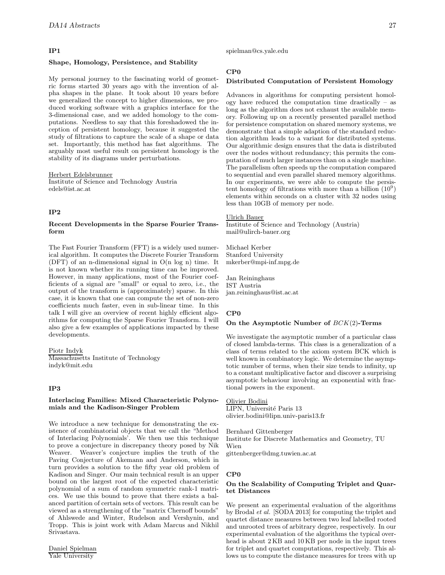# **IP1**

# **Shape, Homology, Persistence, and Stability**

My personal journey to the fascinating world of geometric forms started 30 years ago with the invention of alpha shapes in the plane. It took about 10 years before we generalized the concept to higher dimensions, we produced working software with a graphics interface for the 3-dimensional case, and we added homology to the computations. Needless to say that this foreshadowed the inception of persistent homology, because it suggested the study of filtrations to capture the scale of a shape or data set. Importantly, this method has fast algorithms. The arguably most useful result on persistent homology is the stability of its diagrams under perturbations.

Herbert Edelsbrunner Institute of Science and Technology Austria edels@ist.ac.at

# **IP2**

## **Recent Developments in the Sparse Fourier Transform**

The Fast Fourier Transform (FFT) is a widely used numerical algorithm. It computes the Discrete Fourier Transform (DFT) of an n-dimensional signal in O(n log n) time. It is not known whether its running time can be improved. However, in many applications, most of the Fourier coefficients of a signal are "small" or equal to zero, i.e., the output of the transform is (approximately) sparse. In this case, it is known that one can compute the set of non-zero coefficients much faster, even in sub-linear time. In this talk I will give an overview of recent highly efficient algorithms for computing the Sparse Fourier Transform. I will also give a few examples of applications impacted by these developments.

Piotr Indyk Massachusetts Institute of Technology indyk@mit.edu

#### **IP3**

#### **Interlacing Families: Mixed Characteristic Polynomials and the Kadison-Singer Problem**

We introduce a new technique for demonstrating the existence of combinatorial objects that we call the "Method of Interlacing Polynomials'. We then use this technique to prove a conjecture in discrepancy theory posed by Nik Weaver. Weaver's conjecture implies the truth of the Paving Conjecture of Akemann and Anderson, which in turn provides a solution to the fifty year old problem of Kadison and Singer. Our main technical result is an upper bound on the largest root of the expected characteristic polynomial of a sum of random symmetric rank-1 matrices. We use this bound to prove that there exists a balanced partition of certain sets of vectors. This result can be viewed as a strengthening of the "matrix Chernoff bounds" of Ahlswede and Winter, Rudelson and Vershynin, and Tropp. This is joint work with Adam Marcus and Nikhil Srivastava.

spielman@cs.yale.edu

# **CP0**

#### **Distributed Computation of Persistent Homology**

Advances in algorithms for computing persistent homology have reduced the computation time drastically – as long as the algorithm does not exhaust the available memory. Following up on a recently presented parallel method for persistence computation on shared memory systems, we demonstrate that a simple adaption of the standard reduction algorithm leads to a variant for distributed systems. Our algorithmic design ensures that the data is distributed over the nodes without redundancy; this permits the computation of much larger instances than on a single machine. The parallelism often speeds up the computation compared to sequential and even parallel shared memory algorithms. In our experiments, we were able to compute the persistent homology of filtrations with more than a billion  $(10^9)$ elements within seconds on a cluster with 32 nodes using less than 10GB of memory per node.

## Ulrich Bauer

Institute of Science and Technology (Austria) mail@ulirch-bauer.org

Michael Kerber Stanford University mkerber@mpi-inf.mpg.de

Jan Reininghaus IST Austria jan.reininghaus@ist.ac.at

#### **CP0**

#### **On the Asymptotic Number of** BCK(2)**-Terms**

We investigate the asymptotic number of a particular class of closed lambda-terms. This class is a generalization of a class of terms related to the axiom system BCK which is well known in combinatory logic. We determine the asymptotic number of terms, when their size tends to infinity, up to a constant multiplicative factor and discover a surprising asymptotic behaviour involving an exponential with fractional powers in the exponent.

#### Olivier Bodini

LIPN, Université Paris 13 olivier.bodini@lipn.univ-paris13.fr

Bernhard Gittenberger Institute for Discrete Mathematics and Geometry, TU Wien gittenberger@dmg.tuwien.ac.at

#### **CP0**

# **On the Scalability of Computing Triplet and Quartet Distances**

We present an experimental evaluation of the algorithms by Brodal et al. [SODA 2013] for computing the triplet and quartet distance measures between two leaf labelled rooted and unrooted trees of arbitrary degree, respectively. In our experimental evaluation of the algorithms the typical overhead is about 2 KB and 10 KB per node in the input trees for triplet and quartet computations, respectively. This allows us to compute the distance measures for trees with up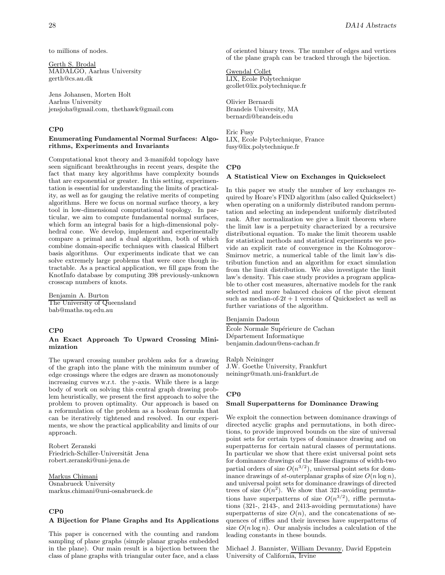to millions of nodes.

Gerth S. Brodal MADALGO, Aarhus University gerth@cs.au.dk

Jens Johansen, Morten Holt Aarhus University jensjoha@gmail.com, thethawk@gmail.com

# **CP0**

# **Enumerating Fundamental Normal Surfaces: Algorithms, Experiments and Invariants**

Computational knot theory and 3-manifold topology have seen significant breakthroughs in recent years, despite the fact that many key algorithms have complexity bounds that are exponential or greater. In this setting, experimentation is essential for understanding the limits of practicality, as well as for gauging the relative merits of competing algorithms. Here we focus on normal surface theory, a key tool in low-dimensional computational topology. In particular, we aim to compute fundamental normal surfaces, which form an integral basis for a high-dimensional polyhedral cone. We develop, implement and experimentally compare a primal and a dual algorithm, both of which combine domain-specific techniques with classical Hilbert basis algorithms. Our experiments indicate that we can solve extremely large problems that were once though intractable. As a practical application, we fill gaps from the KnotInfo database by computing 398 previously-unknown crosscap numbers of knots.

Benjamin A. Burton The University of Queensland bab@maths.uq.edu.au

# **CP0**

# **An Exact Approach To Upward Crossing Minimization**

The upward crossing number problem asks for a drawing of the graph into the plane with the minimum number of edge crossings where the edges are drawn as monotonously increasing curves w.r.t. the y-axis. While there is a large body of work on solving this central graph drawing problem heuristically, we present the first approach to solve the problem to proven optimality. Our approach is based on a reformulation of the problem as a boolean formula that can be iteratively tightened and resolved. In our experiments, we show the practical applicability and limits of our approach.

Robert Zeranski Friedrich-Schiller-Universität Jena robert.zeranski@uni-jena.de

Markus Chimani Osnabrueck University markus.chimani@uni-osnabrueck.de

# **CP0**

#### **A Bijection for Plane Graphs and Its Applications**

This paper is concerned with the counting and random sampling of plane graphs (simple planar graphs embedded in the plane). Our main result is a bijection between the class of plane graphs with triangular outer face, and a class

of oriented binary trees. The number of edges and vertices of the plane graph can be tracked through the bijection.

# Gwendal Collet

LIX, Ecole Polytechnique gcollet@lix.polytechnique.fr

Olivier Bernardi Brandeis University, MA bernardi@brandeis.edu

Eric Fusy LIX, Ecole Polytechnique, France fusy@lix.polytechnique.fr

## **CP0**

#### **A Statistical View on Exchanges in Quickselect**

In this paper we study the number of key exchanges required by Hoare's FIND algorithm (also called Quickselect) when operating on a uniformly distributed random permutation and selecting an independent uniformly distributed rank. After normalization we give a limit theorem where the limit law is a perpetuity characterized by a recursive distributional equation. To make the limit theorem usable for statistical methods and statistical experiments we provide an explicit rate of convergence in the Kolmogorov– Smirnov metric, a numerical table of the limit law's distribution function and an algorithm for exact simulation from the limit distribution. We also investigate the limit law's density. This case study provides a program applicable to other cost measures, alternative models for the rank selected and more balanced choices of the pivot element such as median-of- $2t + 1$  versions of Quickselect as well as further variations of the algorithm.

Benjamin Dadoun

École Normale Supérieure de Cachan Département Informatique benjamin.dadoun@ens-cachan.fr

Ralph Neininger J.W. Goethe University, Frankfurt neiningr@math.uni-frankfurt.de

#### **CP0**

#### **Small Superpatterns for Dominance Drawing**

We exploit the connection between dominance drawings of directed acyclic graphs and permutations, in both directions, to provide improved bounds on the size of universal point sets for certain types of dominance drawing and on superpatterns for certain natural classes of permutations. In particular we show that there exist universal point sets for dominance drawings of the Hasse diagrams of width-two partial orders of size  $O(n^{3/2})$ , universal point sets for dominance drawings of st-outerplanar graphs of size  $O(n \log n)$ , and universal point sets for dominance drawings of directed trees of size  $O(n^2)$ . We show that 321-avoiding permutations have superpatterns of size  $O(n^{3/2})$ , riffle permutations (321-, 2143-, and 2413-avoiding permutations) have superpatterns of size  $O(n)$ , and the concatenations of sequences of riffles and their inverses have superpatterns of size  $O(n \log n)$ . Our analysis includes a calculation of the leading constants in these bounds.

Michael J. Bannister, William Devanny, David Eppstein University of California, Irvine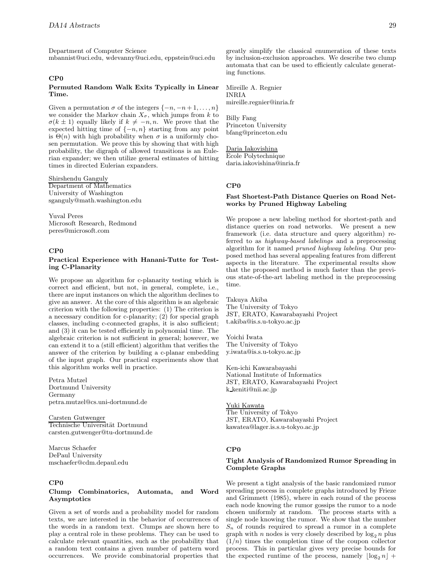Department of Computer Science mbannist@uci.edu, wdevanny@uci.edu, eppstein@uci.edu

#### **CP0**

## **Permuted Random Walk Exits Typically in Linear Time.**

Given a permutation  $\sigma$  of the integers  $\{-n, -n+1, \ldots, n\}$ we consider the Markov chain  $X_{\sigma}$ , which jumps from k to  $\sigma(k \pm 1)$  equally likely if  $k \neq -n, n$ . We prove that the expected hitting time of  $\{-n, n\}$  starting from any point is  $\Theta(n)$  with high probability when  $\sigma$  is a uniformly chosen permutation. We prove this by showing that with high probability, the digraph of allowed transitions is an Eulerian expander; we then utilize general estimates of hitting times in directed Eulerian expanders.

Shirshendu Ganguly Department of Mathematics University of Washington sganguly@math.washington.edu

Yuval Peres Microsoft Research, Redmond peres@microsoft.com

# **CP0**

#### **Practical Experience with Hanani-Tutte for Testing C-Planarity**

We propose an algorithm for c-planarity testing which is correct and efficient, but not, in general, complete, i.e., there are input instances on which the algorithm declines to give an answer. At the core of this algorithm is an algebraic criterion with the following properties: (1) The criterion is a necessary condition for c-planarity; (2) for special graph classes, including c-connected graphs, it is also sufficient; and (3) it can be tested efficiently in polynomial time. The algebraic criterion is not sufficient in general; however, we can extend it to a (still efficient) algorithm that verifies the answer of the criterion by building a c-planar embedding of the input graph. Our practical experiments show that this algorithm works well in practice.

Petra Mutzel Dortmund University Germany petra.mutzel@cs.uni-dortmund.de

Carsten Gutwenger Technische Universität Dortmund carsten.gutwenger@tu-dortmund.de

Marcus Schaefer DePaul University mschaefer@cdm.depaul.edu

# **CP0**

## **Clump Combinatorics, Automata, and Word Asymptotics**

Given a set of words and a probability model for random texts, we are interested in the behavior of occurrences of the words in a random text. Clumps are shown here to play a central role in these problems. They can be used to calculate relevant quantities, such as the probability that a random text contains a given number of pattern word occurrences. We provide combinatorial properties that greatly simplify the classical enumeration of these texts by inclusion-exclusion approaches. We describe two clump automata that can be used to efficiently calculate generating functions.

Mireille A. Regnier INRIA mireille.regnier@inria.fr

Billy Fang Princeton University bfang@princeton.edu

Daria Iakovishina Ecole Polytechnique daria.iakovishina@inria.fr

#### **CP0**

## **Fast Shortest-Path Distance Queries on Road Networks by Pruned Highway Labeling**

We propose a new labeling method for shortest-path and distance queries on road networks. We present a new framework (i.e. data structure and query algorithm) referred to as highway-based labelings and a preprocessing algorithm for it named pruned highway labeling. Our proposed method has several appealing features from different aspects in the literature. The experimental results show that the proposed method is much faster than the previous state-of-the-art labeling method in the preprocessing time.

Takuya Akiba The University of Tokyo JST, ERATO, Kawarabayashi Project t.akiba@is.s.u-tokyo.ac.jp

Yoichi Iwata The University of Tokyo y.iwata@is.s.u-tokyo.ac.jp

Ken-ichi Kawarabayashi National Institute of Informatics JST, ERATO, Kawarabayashi Project k keniti@nii.ac.jp

Yuki Kawata The University of Tokyo JST, ERATO, Kawarabayashi Project kawatea@lager.is.s.u-tokyo.ac.jp

#### **CP0**

## **Tight Analysis of Randomized Rumor Spreading in Complete Graphs**

We present a tight analysis of the basic randomized rumor spreading process in complete graphs introduced by Frieze and Grimmett (1985), where in each round of the process each node knowing the rumor gossips the rumor to a node chosen uniformly at random. The process starts with a single node knowing the rumor. We show that the number  $S_n$  of rounds required to spread a rumor in a complete graph with *n* nodes is very closely described by  $\log_2 n$  plus  $(1/n)$  times the counterparties of the counterparties  $(1/n)$  times the completion time of the coupon collector process. This in particular gives very precise bounds for the expected runtime of the process, namely  $\lfloor \log_2 n \rfloor +$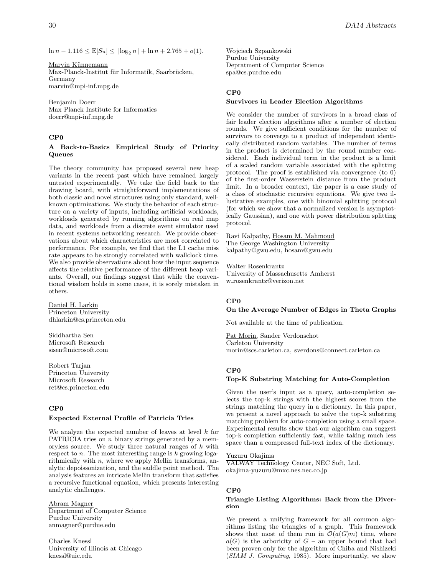ln n − 1.116  $\leq$  E[ $S_n$ ]  $\leq$  [log<sub>2</sub> n] + ln n + 2.765 + o(1).

Marvin Künnemann Max-Planck-Institut für Informatik, Saarbrücken, Germany marvin@mpi-inf.mpg.de

Benjamin Doerr Max Planck Institute for Informatics doerr@mpi-inf.mpg.de

# **CP0**

# **A Back-to-Basics Empirical Study of Priority Queues**

The theory community has proposed several new heap variants in the recent past which have remained largely untested experimentally. We take the field back to the drawing board, with straightforward implementations of both classic and novel structures using only standard, wellknown optimizations. We study the behavior of each structure on a variety of inputs, including artificial workloads, workloads generated by running algorithms on real map data, and workloads from a discrete event simulator used in recent systems networking research. We provide observations about which characteristics are most correlated to performance. For example, we find that the L1 cache miss rate appears to be strongly correlated with wallclock time. We also provide observations about how the input sequence affects the relative performance of the different heap variants. Overall, our findings suggest that while the conventional wisdom holds in some cases, it is sorely mistaken in others.

Daniel H. Larkin Princeton University dhlarkin@cs.princeton.edu

Siddhartha Sen Microsoft Research sisen@microsoft.com

Robert Tarjan Princeton University Microsoft Research ret@cs.princeton.edu

# **CP0**

# **Expected External Profile of Patricia Tries**

We analyze the expected number of leaves at level  $k$  for PATRICIA tries on  $n$  binary strings generated by a memoryless source. We study three natural ranges of  $k$  with respect to  $n$ . The most interesting range is  $k$  growing logarithmically with  $n$ , where we apply Mellin transforms, analytic depoissonization, and the saddle point method. The analysis features an intricate Mellin transform that satisfies a recursive functional equation, which presents interesting analytic challenges.

# Abram Magner

Department of Computer Science Purdue University anmagner@purdue.edu

Charles Knessl University of Illinois at Chicago knessl@uic.edu

Wojciech Szpankowski Purdue University Depratment of Computer Science spa@cs.purdue.edu

# **CP0**

## **Survivors in Leader Election Algorithms**

We consider the number of survivors in a broad class of fair leader election algorithms after a number of election rounds. We give sufficient conditions for the number of survivors to converge to a product of independent identically distributed random variables. The number of terms in the product is determined by the round number considered. Each individual term in the product is a limit of a scaled random variable associated with the splitting protocol. The proof is established via convergence (to 0) of the first-order Wasserstein distance from the product limit. In a broader context, the paper is a case study of a class of stochastic recursive equations. We give two illustrative examples, one with binomial splitting protocol (for which we show that a normalized version is asymptotically Gaussian), and one with power distribution splitting protocol.

Ravi Kalpathy, Hosam M. Mahmoud The George Washington University kalpathy@gwu.edu, hosam@gwu.edu

Walter Rosenkrantz University of Massachusetts Amherst w rosenkrantz@verizon.net

# **CP0**

# **On the Average Number of Edges in Theta Graphs**

Not available at the time of publication.

Pat Morin, Sander Verdonschot Carleton University morin@scs.carleton.ca, sverdons@connect.carleton.ca

# **CP0**

# **Top-K Substring Matching for Auto-Completion**

Given the user's input as a query, auto-completion selects the top-k strings with the highest scores from the strings matching the query in a dictionary. In this paper, we present a novel approach to solve the top-k substring matching problem for auto-completion using a small space. Experimental results show that our algorithm can suggest top-k completion sufficiently fast, while taking much less space than a compressed full-text index of the dictionary.

# Yuzuru Okajima

VALWAY Technology Center, NEC Soft, Ltd. okajima-yuzuru@mxc.nes.nec.co.jp

# **CP0**

## **Triangle Listing Algorithms: Back from the Diversion**

We present a unifying framework for all common algorithms listing the triangles of a graph. This framework shows that most of them run in  $\mathcal{O}(a(G)m)$  time, where  $a(G)$  is the arboricity of  $G$  – an upper bound that had been proven only for the algorithm of Chiba and Nishizeki (SIAM J. Computing, 1985). More importantly, we show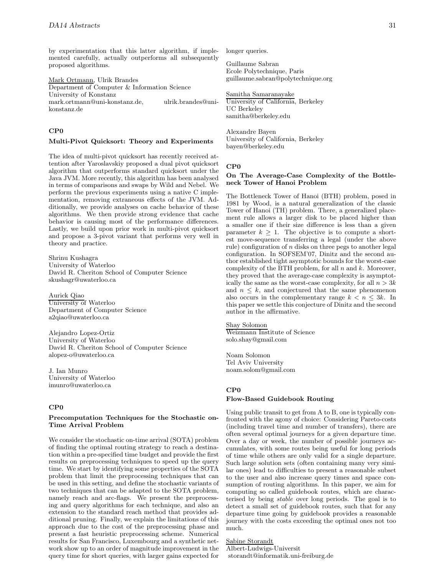by experimentation that this latter algorithm, if implemented carefully, actually outperforms all subsequently proposed algorithms.

Mark Ortmann, Ulrik Brandes Department of Computer & Information Science University of Konstanz mark.ortmann@uni-konstanz.de, ulrik.brandes@unikonstanz.de

# **CP0**

#### **Multi-Pivot Quicksort: Theory and Experiments**

The idea of multi-pivot quicksort has recently received attention after Yaroslavskiy proposed a dual pivot quicksort algorithm that outperforms standard quicksort under the Java JVM. More recently, this algorithm has been analysed in terms of comparisons and swaps by Wild and Nebel. We perform the previous experiments using a native C implementation, removing extraneous effects of the JVM. Additionally, we provide analyses on cache behavior of these algorithms. We then provide strong evidence that cache behavior is causing most of the performance differences. Lastly, we build upon prior work in multi-pivot quicksort and propose a 3-pivot variant that performs very well in theory and practice.

Shrinu Kushagra University of Waterloo David R. Cheriton School of Computer Science skushagr@uwaterloo.ca

Aurick Qiao University of Waterloo Department of Computer Science a2qiao@uwaterloo.ca

Alejandro Lopez-Ortiz University of Waterloo David R. Cheriton School of Computer Science alopez-o@uwaterloo.ca

J. Ian Munro University of Waterloo imunro@uwaterloo.ca

# **CP0**

# **Precomputation Techniques for the Stochastic on-Time Arrival Problem**

We consider the stochastic on-time arrival (SOTA) problem of finding the optimal routing strategy to reach a destination within a pre-specified time budget and provide the first results on preprocessing techniques to speed up the query time. We start by identifying some properties of the SOTA problem that limit the preprocessing techniques that can be used in this setting, and define the stochastic variants of two techniques that can be adapted to the SOTA problem, namely reach and arc-flags. We present the preprocessing and query algorithms for each technique, and also an extension to the standard reach method that provides additional pruning. Finally, we explain the limitations of this approach due to the cost of the preprocessing phase and present a fast heuristic preprocessing scheme. Numerical results for San Francisco, Luxembourg and a synthetic network show up to an order of magnitude improvement in the query time for short queries, with larger gains expected for

longer queries.

Guillaume Sabran Ecole Polytechnique, Paris guillaume.sabran@polytechnique.org

Samitha Samaranayake University of California, Berkeley UC Berkeley samitha@berkeley.edu

Alexandre Bayen University of California, Berkeley bayen@berkeley.edu

#### **CP0**

## **On The Average-Case Complexity of the Bottleneck Tower of Hanoi Problem**

The Bottleneck Tower of Hanoi (BTH) problem, posed in 1981 by Wood, is a natural generalization of the classic Tower of Hanoi (TH) problem. There, a generalized placement rule allows a larger disk to be placed higher than a smaller one if their size difference is less than a given parameter  $k \geq 1$ . The objective is to compute a shortest move-sequence transferring a legal (under the above rule) configuration of  $n$  disks on three pegs to another legal configuration. In SOFSEM'07, Dinitz and the second author established tight asymptotic bounds for the worst-case complexity of the BTH problem, for all  $n$  and  $k$ . Moreover, they proved that the average-case complexity is asymptotically the same as the worst-case complexity, for all  $n > 3k$ and  $n \leq k$ , and conjectured that the same phenomenon also occurs in the complementary range  $k < n < 3k$ . In this paper we settle this conjecture of Dinitz and the second author in the affirmative.

Shay Solomon Weizmann Institute of Science solo.shay@gmail.com

Noam Solomon Tel Aviv University noam.solom@gmail.com

# **CP0 Flow-Based Guidebook Routing**

Using public transit to get from A to B, one is typically confronted with the agony of choice: Considering Pareto-costs (including travel time and number of transfers), there are often several optimal journeys for a given departure time. Over a day or week, the number of possible journeys accumulates, with some routes being useful for long periods of time while others are only valid for a single departure. Such large solution sets (often containing many very similar ones) lead to difficulties to present a reasonable subset to the user and also increase query times and space consumption of routing algorithms. In this paper, we aim for computing so called guidebook routes, which are characterised by being stable over long periods. The goal is to detect a small set of guidebook routes, such that for any departure time going by guidebook provides a reasonable journey with the costs exceeding the optimal ones not too much.

Sabine Storandt

Albert-Ludwigs-Universit storandt@informatik.uni-freiburg.de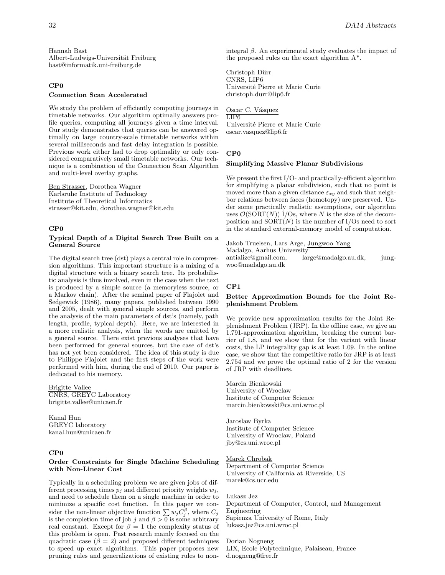# **CP0 Connection Scan Accelerated**

We study the problem of efficiently computing journeys in timetable networks. Our algorithm optimally answers profile queries, computing all journeys given a time interval. Our study demonstrates that queries can be answered optimally on large country-scale timetable networks within several milliseconds and fast delay integration is possible. Previous work either had to drop optimality or only considered comparatively small timetable networks. Our technique is a combination of the Connection Scan Algorithm and multi-level overlay graphs.

Ben Strasser, Dorothea Wagner Karlsruhe Institute of Technology Institute of Theoretical Informatics strasser@kit.edu, dorothea.wagner@kit.edu

## **CP0**

## **Typical Depth of a Digital Search Tree Built on a General Source**

The digital search tree (dst) plays a central role in compression algorithms. This important structure is a mixing of a digital structure with a binary search tree. Its probabilistic analysis is thus involved, even in the case when the text is produced by a simple source (a memoryless source, or a Markov chain). After the seminal paper of Flajolet and Sedgewick (1986), many papers, published between 1990 and 2005, dealt with general simple sources, and perform the analysis of the main parameters of dst's (namely, path length, profile, typical depth). Here, we are interested in a more realistic analysis, when the words are emitted by a general source. There exist previous analyses that have been performed for general sources, but the case of dst's has not yet been considered. The idea of this study is due to Philippe Flajolet and the first steps of the work were performed with him, during the end of 2010. Our paper is dedicated to his memory.

Brigitte Vallee CNRS, GREYC Laboratory brigitte.vallee@unicaen.fr

Kanal Hun GREYC laboratory kanal.hun@unicaen.fr

## **CP0**

# **Order Constraints for Single Machine Scheduling with Non-Linear Cost**

Typically in a scheduling problem we are given jobs of different processing times  $p_j$  and different priority weights  $w_j$ , and need to schedule them on a single machine in order to minimize a specific cost function. In this paper we consider the non-linear objective function  $\sum w_j C_j^{\beta}$ , where  $C_j$ is the completion time of job j and  $\beta > 0$  is some arbitrary real constant. Except for  $\beta = 1$  the complexity status of this problem is open. Past research mainly focused on the quadratic case  $(\beta = 2)$  and proposed different techniques to speed up exact algorithms. This paper proposes new pruning rules and generalizations of existing rules to nonintegral  $\beta$ . An experimental study evaluates the impact of the proposed rules on the exact algorithm A\*.

Christoph Dürr CNRS, LIP6 Universit´e Pierre et Marie Curie christoph.durr@lip6.fr

Oscar C. Vásquez LIP6 Universit´e Pierre et Marie Curie oscar.vasquez@lip6.fr

# **CP0**

#### **Simplifying Massive Planar Subdivisions**

We present the first I/O- and practically-efficient algorithm for simplifying a planar subdivision, such that no point is moved more than a given distance  $\varepsilon_{xy}$  and such that neighbor relations between faces (homotopy) are preserved. Under some practically realistic assumptions, our algorithm uses  $\mathcal{O}(\text{SORT}(N))$  I/Os, where N is the size of the decomposition and  $SORT(N)$  is the number of I/Os need to sort in the standard external-memory model of computation.

Jakob Truelsen, Lars Arge, Jungwoo Yang Madalgo, Aarhus University antialize@gmail.com, large@madalgo.au.dk, jungwoo@madalgo.au.dk

#### **CP1**

#### **Better Approximation Bounds for the Joint Replenishment Problem**

We provide new approximation results for the Joint Replenishment Problem (JRP). In the offline case, we give an 1.791-approximation algorithm, breaking the current barrier of 1.8, and we show that for the variant with linear costs, the LP integrality gap is at least 1.09. In the online case, we show that the competitive ratio for JRP is at least 2.754 and we prove the optimal ratio of 2 for the version of JRP with deadlines.

Marcin Bienkowski University of Wroclaw Institute of Computer Science marcin.bienkowski@cs.uni.wroc.pl

Jaroslaw Byrka Institute of Computer Science University of Wroclaw, Poland jby@cs.uni.wroc.pl

# Marek Chrobak

Department of Computer Science University of California at Riverside, US marek@cs.ucr.edu

Lukasz Jez Department of Computer, Control, and Management Engineering Sapienza University of Rome, Italy lukasz.jez@cs.uni.wroc.pl

Dorian Nogneng LIX, Ecole Polytechnique, Palaiseau, France d.nogneng@free.fr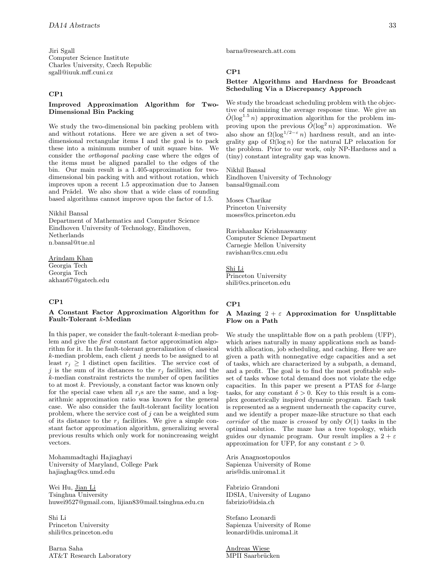Jiri Sgall Computer Science Institute Charles University, Czech Republic sgall@iuuk.mff.cuni.cz

# **CP1**

## **Improved Approximation Algorithm for Two-Dimensional Bin Packing**

We study the two-dimensional bin packing problem with and without rotations. Here we are given a set of twodimensional rectangular items I and the goal is to pack these into a minimum number of unit square bins. We consider the orthogonal packing case where the edges of the items must be aligned parallel to the edges of the bin. Our main result is a 1.405-approximation for twodimensional bin packing with and without rotation, which improves upon a recent 1.5 approximation due to Jansen and Prädel. We also show that a wide class of rounding based algorithms cannot improve upon the factor of 1.5.

Nikhil Bansal

Department of Mathematics and Computer Science Eindhoven University of Technology, Eindhoven, Netherlands n.bansal@tue.nl

#### Arindam Khan

Georgia Tech Georgia Tech akhan67@gatech.edu

# **CP1**

## **A Constant Factor Approximation Algorithm for Fault-Tolerant** k**-Median**

In this paper, we consider the fault-tolerant k-median problem and give the first constant factor approximation algorithm for it. In the fault-tolerant generalization of classical  $k$ -median problem, each client j needs to be assigned to at least  $r_j \geq 1$  distinct open facilities. The service cost of j is the sum of its distances to the  $r_i$  facilities, and the k-median constraint restricts the number of open facilities to at most  $k$ . Previously, a constant factor was known only for the special case when all  $r_j$ s are the same, and a logarithmic approximation ratio was known for the general case. We also consider the fault-tolerant facility location problem, where the service cost of  $j$  can be a weighted sum of its distance to the  $r_i$  facilities. We give a simple constant factor approximation algorithm, generalizing several previous results which only work for nonincreasing weight vectors.

Mohammadtaghi Hajiaghayi University of Maryland, College Park hajiaghag@cs.umd.edu

Wei Hu, Jian Li Tsinghua University huwei9527@gmail.com, lijian83@mail.tsinghua.edu.cn

Shi Li Princeton University shili@cs.princeton.edu

Barna Saha AT&T Research Laboratory barna@research.att.com

# **CP1**

## **Better Algorithms and Hardness for Broadcast Scheduling Via a Discrepancy Approach**

We study the broadcast scheduling problem with the objective of minimizing the average response time. We give an  $\tilde{O}(\log^{1.5} n)$  approximation algorithm for the problem improving upon the previous  $\tilde{O}(\log^2 n)$  approximation. We also show an  $\Omega(\log^{1/2-\epsilon} n)$  hardness result, and an integrality gap of  $\Omega(\log n)$  for the natural LP relaxation for the problem. Prior to our work, only NP-Hardness and a (tiny) constant integrality gap was known.

Nikhil Bansal Eindhoven University of Technology bansal@gmail.com

Moses Charikar Princeton University moses@cs.princeton.edu

Ravishankar Krishnaswamy Computer Science Department Carnegie Mellon University ravishan@cs.cmu.edu

# Shi Li

Princeton University shili@cs.princeton.edu

#### **CP1**

## **A** Mazing  $2 + \varepsilon$  **Approximation for Unsplittable Flow on a Path**

We study the unsplittable flow on a path problem (UFP), which arises naturally in many applications such as bandwidth allocation, job scheduling, and caching. Here we are given a path with nonnegative edge capacities and a set of tasks, which are characterized by a subpath, a demand, and a profit. The goal is to find the most profitable subset of tasks whose total demand does not violate the edge capacities. In this paper we present a PTAS for  $\delta$ -large tasks, for any constant  $\delta > 0$ . Key to this result is a complex geometrically inspired dynamic program. Each task is represented as a segment underneath the capacity curve, and we identify a proper maze-like structure so that each *corridor* of the maze is *crossed* by only  $O(1)$  tasks in the optimal solution. The maze has a tree topology, which guides our dynamic program. Our result implies a  $2 + \varepsilon$ approximation for UFP, for any constant  $\varepsilon > 0$ .

Aris Anagnostopoulos Sapienza University of Rome aris@dis.uniroma1.it

Fabrizio Grandoni IDSIA, University of Lugano fabrizio@idsia.ch

Stefano Leonardi Sapienza University of Rome leonardi@dis.uniroma1.it

Andreas Wiese MPII Saarbrücken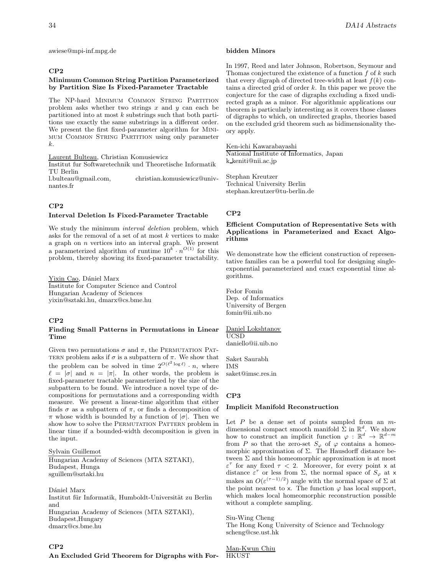awiese@mpi-inf.mpg.de

## **CP2**

## **Minimum Common String Partition Parameterized by Partition Size Is Fixed-Parameter Tractable**

The NP-hard Minimum Common String Partition problem asks whether two strings  $x$  and  $y$  can each be partitioned into at most  $k$  substrings such that both partitions use exactly the same substrings in a different order. We present the first fixed-parameter algorithm for Minimum Common String Partition using only parameter k.

Laurent Bulteau, Christian Komusiewicz

Institut fur Softwaretechnik und Theoretische Informatik TU Berlin<br>1.bulteau@gmail.com, christian.komusiewicz@univ-

nantes.fr

# **CP2**

## **Interval Deletion Is Fixed-Parameter Tractable**

We study the minimum *interval deletion* problem, which asks for the removal of a set of at most  $k$  vertices to make a graph on  $n$  vertices into an interval graph. We present a parameterized algorithm of runtime  $10^k \cdot n^{O(1)}$  for this problem, thereby showing its fixed-parameter tractability.

Yixin Cao, Dániel Marx Institute for Computer Science and Control Hungarian Academy of Sciences yixin@sztaki.hu, dmarx@cs.bme.hu

# **CP2**

# **Finding Small Patterns in Permutations in Linear Time**

Given two permutations  $\sigma$  and  $\pi$ , the PERMUTATION PAT-TERN problem asks if  $\sigma$  is a subpattern of  $\pi$ . We show that the problem can be solved in time  $2^{O(\ell^2 \log \ell)} \cdot n$ , where  $\ell = |\sigma|$  and  $n = |\pi|$ . In other words, the problem is fixed-parameter tractable parameterized by the size of the subpattern to be found. We introduce a novel type of decompositions for permutations and a corresponding width measure. We present a linear-time algorithm that either finds  $\sigma$  as a subpattern of  $\pi$ , or finds a decomposition of  $\pi$  whose width is bounded by a function of  $|\sigma|$ . Then we show how to solve the PERMUTATION PATTERN problem in linear time if a bounded-width decomposition is given in the input.

Sylvain Guillemot Hungarian Academy of Sciences (MTA SZTAKI), Budapest, Hunga sguillem@sztaki.hu

Dániel Marx Institut für Informatik, Humboldt-Universität zu Berlin and Hungarian Academy of Sciences (MTA SZTAKI), Budapest,Hungary dmarx@cs.bme.hu

# **CP2**

**An Excluded Grid Theorem for Digraphs with For-**

#### **bidden Minors**

In 1997, Reed and later Johnson, Robertson, Seymour and Thomas conjectured the existence of a function  $f$  of  $k$  such that every digraph of directed tree-width at least  $f(k)$  contains a directed grid of order  $k$ . In this paper we prove the conjecture for the case of digraphs excluding a fixed undirected graph as a minor. For algorithmic applications our theorem is particularly interesting as it covers those classes of digraphs to which, on undirected graphs, theories based on the excluded grid theorem such as bidimensionality theory apply.

Ken-ichi Kawarabayashi

National Institute of Informatics, Japan k keniti@nii.ac.jp

Stephan Kreutzer Technical University Berlin stephan.kreutzer@tu-berlin.de

# **CP2**

# **Efficient Computation of Representative Sets with Applications in Parameterized and Exact Algorithms**

We demonstrate how the efficient construction of representative families can be a powerful tool for designing singleexponential parameterized and exact exponential time algorithms.

Fedor Fomin Dep. of Informatics University of Bergen fomin@ii.uib.no

Daniel Lokshtanov UCSD daniello@ii.uib.no

Saket Saurabh IMS saket@imsc.res.in

# **CP3**

## **Implicit Manifold Reconstruction**

Let  $P$  be a dense set of points sampled from an  $m$ dimensional compact smooth manifold  $\Sigma$  in  $\mathbb{R}^d$ . We show how to construct an implicit function  $\varphi : \mathbb{R}^d \to \mathbb{R}^{d-m}$ from P so that the zero-set  $S_{\varphi}$  of  $\varphi$  contains a homeomorphic approximation of Σ. The Hausdorff distance between Σ and this homeomorphic approximation is at most  $\varepsilon^{\tau}$  for any fixed  $\tau < 2$ . Moreover, for every point x at distance  $\varepsilon^{\tau}$  or less from  $\Sigma$ , the normal space of  $S_{\varphi}$  at x makes an  $O(\varepsilon^{(\tau-1)/2})$  angle with the normal space of  $\Sigma$  at the point nearest to x. The function  $\varphi$  has local support, which makes local homeomorphic reconstruction possible without a complete sampling.

Siu-Wing Cheng The Hong Kong University of Science and Technology scheng@cse.ust.hk

Man-Kwun Chiu HKUST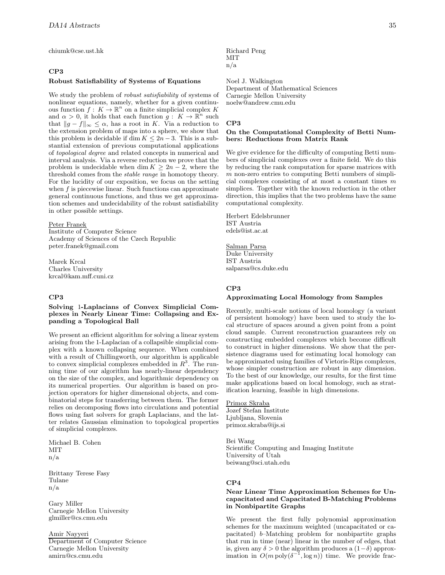chiumk@cse.ust.hk

# **CP3**

#### **Robust Satisfiability of Systems of Equations**

We study the problem of robust satisfiability of systems of nonlinear equations, namely, whether for a given continuous function  $f: K \to \mathbb{R}^n$  on a finite simplicial complex K and  $\alpha > 0$ , it holds that each function  $g: K \to \mathbb{R}^n$  such that  $||g - f||_{\infty} \leq \alpha$ , has a root in K. Via a reduction to the extension problem of maps into a sphere, we show that this problem is decidable if dim  $K \leq 2n-3$ . This is a substantial extension of previous computational applications of topological degree and related concepts in numerical and interval analysis. Via a reverse reduction we prove that the problem is undecidable when dim  $K \geq 2n-2$ , where the threshold comes from the stable range in homotopy theory. For the lucidity of our exposition, we focus on the setting when  $f$  is piecewise linear. Such functions can approximate general continuous functions, and thus we get approximation schemes and undecidability of the robust satisfiability in other possible settings.

#### Peter Franek

Institute of Computer Science Academy of Sciences of the Czech Republic peter.franek@gmail.com

Marek Krcal Charles University krcal@kam.mff.cuni.cz

# **CP3**

# **Solving** 1**-Laplacians of Convex Simplicial Complexes in Nearly Linear Time: Collapsing and Expanding a Topological Ball**

We present an efficient algorithm for solving a linear system arising from the 1-Laplacian of a collapsible simplicial complex with a known collapsing sequence. When combined with a result of Chillingworth, our algorithm is applicable to convex simplicial complexes embedded in  $R^3$ . The running time of our algorithm has nearly-linear dependency on the size of the complex, and logarithmic dependency on its numerical properties. Our algorithm is based on projection operators for higher dimensional objects, and combinatorial steps for transferring between them. The former relies on decomposing flows into circulations and potential flows using fast solvers for graph Laplacians, and the latter relates Gaussian elimination to topological properties of simplicial complexes.

Michael B. Cohen **MIT** n/a

Brittany Terese Fasy Tulane n/a

Gary Miller Carnegie Mellon University glmiller@cs.cmu.edu

Amir Nayyeri Department of Computer Science Carnegie Mellon University amirn@cs.cmu.edu

Richard Peng **MIT** n/a

Noel J. Walkington Department of Mathematical Sciences Carnegie Mellon University noelw@andrew.cmu.edu

#### **CP3**

# **On the Computational Complexity of Betti Numbers: Reductions from Matrix Rank**

We give evidence for the difficulty of computing Betti numbers of simplicial complexes over a finite field. We do this by reducing the rank computation for sparse matrices with  $m$  non-zero entries to computing Betti numbers of simplicial complexes consisting of at most a constant times m simplices. Together with the known reduction in the other direction, this implies that the two problems have the same computational complexity.

Herbert Edelsbrunner IST Austria edels@ist.ac.at

# Salman Parsa

Duke University IST Austria salparsa@cs.duke.edu

### **CP3**

# **Approximating Local Homology from Samples**

Recently, multi-scale notions of local homology (a variant of persistent homology) have been used to study the local structure of spaces around a given point from a point cloud sample. Current reconstruction guarantees rely on constructing embedded complexes which become difficult to construct in higher dimensions. We show that the persistence diagrams used for estimating local homology can be approximated using families of Vietoris-Rips complexes, whose simpler construction are robust in any dimension. To the best of our knowledge, our results, for the first time make applications based on local homology, such as stratification learning, feasible in high dimensions.

Primoz Skraba Jozef Stefan Institute Ljubljana, Slovenia primoz.skraba@ijs.si

Bei Wang Scientific Computing and Imaging Institute University of Utah beiwang@sci.utah.edu

# **CP4**

## **Near Linear Time Approximation Schemes for Uncapacitated and Capacitated B-Matching Problems in Nonbipartite Graphs**

We present the first fully polynomial approximation schemes for the maximum weighted (uncapacitated or capacitated) b–Matching problem for nonbipartite graphs that run in time (near) linear in the number of edges, that is, given any  $\delta > 0$  the algorithm produces a  $(1-\delta)$  approximation in  $O(m \text{ poly}(\delta^{-1}, \log n))$  time. We provide frac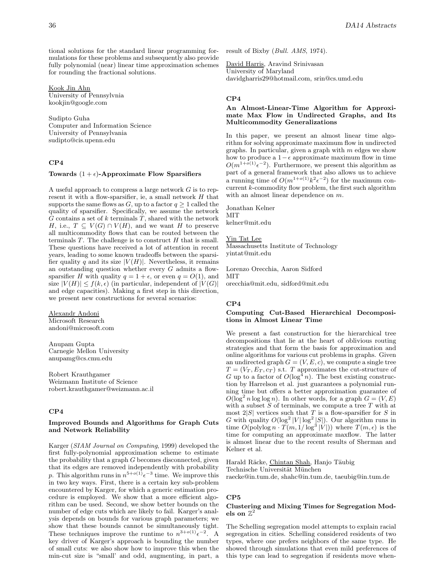tional solutions for the standard linear programming formulations for these problems and subsequently also provide fully polynomial (near) linear time approximation schemes for rounding the fractional solutions.

Kook Jin Ahn University of Pennsylvnia kookjin@google.com

Sudipto Guha Computer and Information Science University of Pennsylvania sudipto@cis.upenn.edu

# **CP4**

#### Towards  $(1 + \epsilon)$ -Approximate Flow Sparsifiers

A useful approach to compress a large network G is to represent it with a flow-sparsifier, ie, a small network  $H$  that supports the same flows as  $G$ , up to a factor  $q \ge 1$  called the quality of sparsifier. Specifically, we assume the network  $G$  contains a set of  $k$  terminals  $T$ , shared with the network H, i.e.,  $T \subseteq V(G) \cap V(H)$ , and we want H to preserve all multicommodity flows that can be routed between the terminals  $T$ . The challenge is to construct  $H$  that is small. These questions have received a lot of attention in recent years, leading to some known tradeoffs between the sparsifier quality q and its size  $|V(H)|$ . Nevertheless, it remains an outstanding question whether every  $G$  admits a flowsparsifier H with quality  $q = 1 + \epsilon$ , or even  $q = O(1)$ , and size  $|V(H)| \le f(k, \epsilon)$  (in particular, independent of  $|V(G)|$ and edge capacities). Making a first step in this direction, we present new constructions for several scenarios:

Alexandr Andoni Microsoft Research andoni@microsoft.com

Anupam Gupta Carnegie Mellon University anupamg@cs.cmu.edu

Robert Krauthgamer Weizmann Institute of Science robert.krauthgamer@weizmann.ac.il

## **CP4**

# **Improved Bounds and Algorithms for Graph Cuts and Network Reliability**

Karger (SIAM Journal on Computing, 1999) developed the first fully-polynomial approximation scheme to estimate the probability that a graph  $G$  becomes disconnected, given that its edges are removed independently with probability p. This algorithm runs in  $n^{5+o(1)} \epsilon^{-3}$  time. We improve this in two key ways. First, there is a certain key sub-problem encountered by Karger, for which a generic estimation procedure is employed. We show that a more efficient algorithm can be used. Second, we show better bounds on the number of edge cuts which are likely to fail. Karger's analysis depends on bounds for various graph parameters; we show that these bounds cannot be simultaneously tight. These techniques improve the runtime to  $n^{3+o(1)}\epsilon^{-2}$ . A key driver of Karger's approach is bounding the number of small cuts: we also show how to improve this when the min-cut size is "small' and odd, augmenting, in part, a result of Bixby (Bull. AMS, 1974).

David Harris, Aravind Srinivasan University of Maryland davidgharris29@hotmail.com, srin@cs.umd.edu

#### **CP4**

# **An Almost-Linear-Time Algorithm for Approximate Max Flow in Undirected Graphs, and Its Multicommodity Generalizations**

In this paper, we present an almost linear time algorithm for solving approximate maximum flow in undirected graphs. In particular, given a graph with  $m$  edges we show how to produce a  $1-\epsilon$  approximate maximum flow in time  $O(m^{1+o(1)}\epsilon^{-2})$ . Furthermore, we present this algorithm as part of a general framework that also allows us to achieve a running time of  $O(m^{1+o(1)}k^2\epsilon^{-2})$  for the maximum concurrent k-commodity flow problem, the first such algorithm with an almost linear dependence on m.

Jonathan Kelner MIT kelner@mit.edu

Yin Tat Lee Massachusetts Institute of Technology yintat@mit.edu

Lorenzo Orecchia, Aaron Sidford MIT orecchia@mit.edu, sidford@mit.edu

#### **CP4**

# **Computing Cut-Based Hierarchical Decompositions in Almost Linear Time**

We present a fast construction for the hierarchical tree decompositions that lie at the heart of oblivious routing strategies and that form the basis for approximation and online algorithms for various cut problems in graphs. Given an undirected graph  $G = (V, E, c)$ , we compute a single tree  $T = (V_T, E_T, c_T)$  s.t. T approximates the cut-structure of G up to a factor of  $O(\log^4 n)$ . The best existing construction by Harrelson et al. just guarantees a polynomial running time but offers a better approximation guarantee of  $O(\log^2 n \log \log n)$ . In other words, for a graph  $G = (V, E)$ with a subset  $S$  of terminals, we compute a tree  $T$  with at most  $2|S|$  vertices such that T is a flow-sparsifier for S in G with quality  $O(\log^2 |V| \log^2 |S|)$ . Our algorithm runs in time  $O(polylog n \cdot T(m, 1/log^3 |V|))$  where  $T(m, \epsilon)$  is the time for computing an approximate maxflow. The latter is almost linear due to the recent results of Sherman and Kelner et al.

Harald Räcke, Chintan Shah, Hanjo Täubig

Technische Universität München

raecke@in.tum.de, shahc@in.tum.de, taeubig@in.tum.de

#### **CP5**

## **Clustering and Mixing Times for Segregation Mod**els on  $\mathbb{Z}^2$

The Schelling segregation model attempts to explain racial segregation in cities. Schelling considered residents of two types, where one prefers neighbors of the same type. He showed through simulations that even mild preferences of this type can lead to segregation if residents move when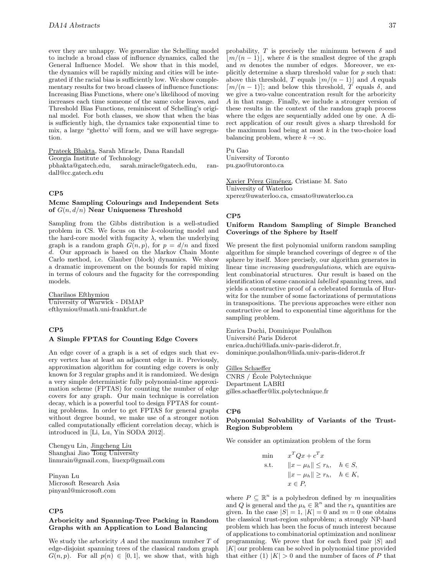ever they are unhappy. We generalize the Schelling model to include a broad class of influence dynamics, called the General Influence Model. We show that in this model, the dynamics will be rapidly mixing and cities will be integrated if the racial bias is sufficiently low. We show complementary results for two broad classes of influence functions: Increasing Bias Functions, where one's likelihood of moving increases each time someone of the same color leaves, and Threshold Bias Functions, reminiscent of Schelling's original model. For both classes, we show that when the bias is sufficiently high, the dynamics take exponential time to mix, a large "ghetto' will form, and we will have segregation.

Prateek Bhakta, Sarah Miracle, Dana Randall Georgia Institute of Technology pbhakta@gatech.edu, sarah.miracle@gatech.edu, randall@cc.gatech.edu

#### **CP5**

## **Mcmc Sampling Colourings and Independent Sets of** G(n, d/n) **Near Uniqueness Threshold**

Sampling from the Gibbs distribution is a well-studied problem in CS. We focus on the k-colouring model and the hard-core model with fugacity  $\lambda$ , when the underlying graph is a random graph  $G(n, p)$ , for  $p = d/n$  and fixed d. Our approach is based on the Markov Chain Monte Carlo method, i.e. Glauber (block) dynamics. We show a dramatic improvement on the bounds for rapid mixing in terms of colours and the fugacity for the corresponding models.

Charilaos Efthymiou University of Warwick - DIMAP efthymiou@math.uni-frankfurt.de

## **CP5**

# **A Simple FPTAS for Counting Edge Covers**

An edge cover of a graph is a set of edges such that every vertex has at least an adjacent edge in it. Previously, approximation algorithm for counting edge covers is only known for 3 regular graphs and it is randomized. We design a very simple deterministic fully polynomial-time approximation scheme (FPTAS) for counting the number of edge covers for any graph. Our main technique is correlation decay, which is a powerful tool to design FPTAS for counting problems. In order to get FPTAS for general graphs without degree bound, we make use of a stronger notion called computationally efficient correlation decay, which is introduced in [Li, Lu, Yin SODA 2012].

Chengyu Lin, Jingcheng Liu Shanghai Jiao Tong University linmrain@gmail.com, liuexp@gmail.com

Pinyan Lu Microsoft Research Asia pinyanl@microsoft.com

# **CP5**

### **Arboricity and Spanning-Tree Packing in Random Graphs with an Application to Load Balancing**

We study the arboricity  $A$  and the maximum number  $T$  of edge-disjoint spanning trees of the classical random graph  $G(n, p)$ . For all  $p(n) \in [0, 1]$ , we show that, with high

probability, T is precisely the minimum between  $\delta$  and  $|m/(n-1)|$ , where  $\delta$  is the smallest degree of the graph and m denotes the number of edges. Moreover, we explicitly determine a sharp threshold value for  $p$  such that: above this threshold, T equals  $\lfloor m/(n-1) \rfloor$  and A equals  $\lceil m/(n-1)\rceil$ ; and below this threshold, T equals  $\delta$ , and we give a two-value concentration result for the arboricity A in that range. Finally, we include a stronger version of these results in the context of the random graph process where the edges are sequentially added one by one. A direct application of our result gives a sharp threshold for the maximum load being at most  $k$  in the two-choice load balancing problem, where  $k \to \infty$ .

Pu Gao University of Toronto pu.gao@utoronto.ca

Xavier Pérez Giménez, Cristiane M. Sato University of Waterloo xperez@uwaterloo.ca, cmsato@uwaterloo.ca

## **CP5**

#### **Uniform Random Sampling of Simple Branched Coverings of the Sphere by Itself**

We present the first polynomial uniform random sampling algorithm for simple branched coverings of degree  $n$  of the sphere by itself. More precisely, our algorithm generates in linear time increasing quadrangulations, which are equivalent combinatorial structures. Our result is based on the identification of some canonical labelled spanning trees, and yields a constructive proof of a celebrated formula of Hurwitz for the number of some factorizations of permutations in transpositions. The previous approaches were either non constructive or lead to exponential time algorithms for the sampling problem.

Enrica Duchi, Dominique Poulalhon Université Paris Diderot enrica.duchi@liafa.univ-paris-diderot.fr, dominique.poulalhon@liafa.univ-paris-diderot.fr

Gilles Schaeffer CNRS / Ecole Polytechnique ´ Department LABRI gilles.schaeffer@lix.polytechnique.fr

#### **CP6**

# **Polynomial Solvability of Variants of the Trust-Region Subproblem**

We consider an optimization problem of the form

min 
$$
x^T Q x + c^T x
$$
  
\ns.t.  $||x - \mu_h|| \le r_h$ ,  $h \in S$ ,  
\n $||x - \mu_h|| \ge r_h$ ,  $h \in K$ ,  
\n $x \in P$ ,

where  $P \subseteq \mathbb{R}^n$  is a polyhedron defined by m inequalities and Q is general and the  $\mu_h \in \mathbb{R}^n$  and the  $r_h$  quantities are given. In the case  $|S| = 1$ ,  $|K| = 0$  and  $m = 0$  one obtains the classical trust-region subproblem; a strongly NP-hard problem which has been the focus of much interest because of applications to combinatorial optimization and nonlinear programming. We prove that for each fixed pair  $|S|$  and |K| our problem can be solved in polynomial time provided that either (1)  $|K| > 0$  and the number of faces of P that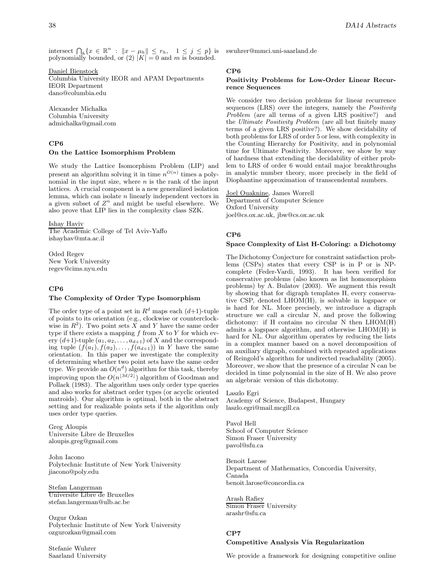intersect  $\bigcap_h \{x \in \mathbb{R}^n : ||x - \mu_h|| \le r_h, \quad 1 \le j \le p\}$  is polynomially bounded, or  $(2)$   $|K| = 0$  and m is bounded.

Daniel Bienstock Columbia University IEOR and APAM Departments IEOR Department dano@columbia.edu

Alexander Michalka Columbia University admichalka@gmail.com

# **CP6**

# **On the Lattice Isomorphism Problem**

We study the Lattice Isomorphism Problem (LIP) and present an algorithm solving it in time  $n^{O(n)}$  times a polynomial in the input size, where  $n$  is the rank of the input lattices. A crucial component is a new generalized isolation lemma, which can isolate n linearly independent vectors in a given subset of  $Z^n$  and might be useful elsewhere. We also prove that LIP lies in the complexity class SZK.

Ishay Haviv

The Academic College of Tel Aviv-Yaffo ishayhav@mta.ac.il

Oded Regev New York University regev@cims.nyu.edu

# **CP6**

# **The Complexity of Order Type Isomorphism**

The order type of a point set in  $R^d$  maps each  $(d+1)$ -tuple of points to its orientation (e.g., clockwise or counterclockwise in  $R^2$ ). Two point sets X and Y have the same order type if there exists a mapping  $f$  from  $X$  to  $Y$  for which every  $(d+1)$ -tuple  $(a_1, a_2, \ldots, a_{d+1})$  of X and the corresponding tuple  $(f(a_1), f(a_2), \ldots, f(a_{d+1}))$  in Y have the same orientation. In this paper we investigate the complexity of determining whether two point sets have the same order type. We provide an  $O(n^d)$  algorithm for this task, thereby improving upon the  $O(n^{\lfloor 3d/2 \rfloor})$  algorithm of Goodman and Pollack (1983). The algorithm uses only order type queries and also works for abstract order types (or acyclic oriented matroids). Our algorithm is optimal, both in the abstract setting and for realizable points sets if the algorithm only uses order type queries.

Greg Aloupis Universite Libre de Bruxelles aloupis.greg@gmail.com

John Iacono Polytechnic Institute of New York University jiacono@poly.edu

Stefan Langerman Universite Libre de Bruxelles stefan.langerman@ulb.ac.be

Ozgur Ozkan Polytechnic Institute of New York University ozgurozkan@gmail.com

Stefanie Wuhrer Saarland University swuhrer@mmci.uni-saarland.de

# **CP6**

#### **Positivity Problems for Low-Order Linear Recurrence Sequences**

We consider two decision problems for linear recurrence sequences (LRS) over the integers, namely the *Positivity* Problem (are all terms of a given LRS positive?) and the Ultimate Positivity Problem (are all but finitely many terms of a given LRS positive?). We show decidability of both problems for LRS of order 5 or less, with complexity in the Counting Hierarchy for Positivity, and in polynomial time for Ultimate Positivity. Moreover, we show by way of hardness that extending the decidability of either problem to LRS of order 6 would entail major breakthroughs in analytic number theory, more precisely in the field of Diophantine approximation of transcendental numbers.

Joel Ouaknine, James Worrell Department of Computer Science Oxford University joel@cs.ox.ac.uk, jbw@cs.ox.ac.uk

# **CP6**

#### **Space Complexity of List H-Coloring: a Dichotomy**

The Dichotomy Conjecture for constraint satisfaction problems (CSPs) states that every CSP is in P or is NPcomplete (Feder-Vardi, 1993). It has been verified for conservative problems (also known as list homomorphism problems) by A. Bulatov (2003). We augment this result by showing that for digraph templates H, every conservative CSP, denoted LHOM(H), is solvable in logspace or is hard for NL. More precisely, we introduce a digraph structure we call a circular N, and prove the following dichotomy: if H contains no circular N then LHOM(H) admits a logspace algorithm, and otherwise LHOM(H) is hard for NL. Our algorithm operates by reducing the lists in a complex manner based on a novel decomposition of an auxiliary digraph, combined with repeated applications of Reingold's algorithm for undirected reachability (2005). Moreover, we show that the presence of a circular N can be decided in time polynomial in the size of H. We also prove an algebraic version of this dichotomy.

Laszlo Egri Academy of Science, Budapest, Hungary laszlo.egri@mail.mcgill.ca

Pavol Hell School of Computer Science Simon Fraser University pavol@sfu.ca

Benoit Larose Department of Mathematics, Concordia University, Canada benoit.larose@concordia.ca

Arash Rafiey Simon Fraser University arashr@sfu.ca

# **CP7**

# **Competitive Analysis Via Regularization**

We provide a framework for designing competitive online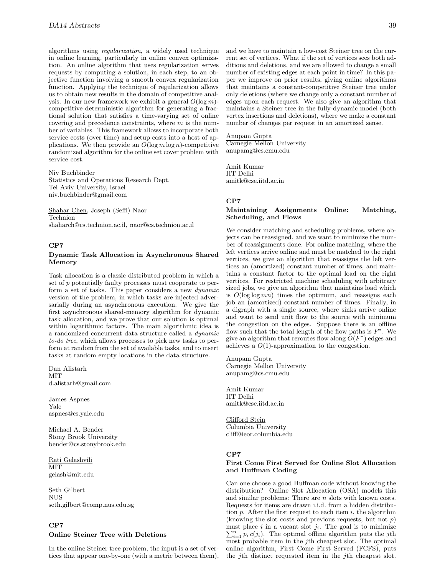algorithms using regularization, a widely used technique in online learning, particularly in online convex optimization. An online algorithm that uses regularization serves requests by computing a solution, in each step, to an objective function involving a smooth convex regularization function. Applying the technique of regularization allows us to obtain new results in the domain of competitive analysis. In our new framework we exhibit a general  $O(\log m)$ competitive deterministic algorithm for generating a fractional solution that satisfies a time-varying set of online covering and precedence constraints, where  $m$  is the number of variables. This framework allows to incorporate both service costs (over time) and setup costs into a host of applications. We then provide an  $O(\log m \log n)$ -competitive randomized algorithm for the online set cover problem with service cost.

Niv Buchbinder Statistics and Operations Research Dept. Tel Aviv University, Israel niv.buchbinder@gmail.com

Shahar Chen, Joseph (Seffi) Naor Technion shaharch@cs.technion.ac.il, naor@cs.technion.ac.il

#### **CP7**

## **Dynamic Task Allocation in Asynchronous Shared Memory**

Task allocation is a classic distributed problem in which a set of p potentially faulty processes must cooperate to perform a set of tasks. This paper considers a new dynamic version of the problem, in which tasks are injected adversarially during an asynchronous execution. We give the first asynchronous shared-memory algorithm for dynamic task allocation, and we prove that our solution is optimal within logarithmic factors. The main algorithmic idea is a randomized concurrent data structure called a dynamic to-do tree, which allows processes to pick new tasks to perform at random from the set of available tasks, and to insert tasks at random empty locations in the data structure.

Dan Alistarh **MIT** d.alistarh@gmail.com

James Aspnes Yale aspnes@cs.yale.edu

Michael A. Bender Stony Brook University bender@cs.stonybrook.edu

Rati Gelashvili MIT gelash@mit.edu

Seth Gilbert NUS seth.gilbert@comp.nus.edu.sg

# **CP7 Online Steiner Tree with Deletions**

In the online Steiner tree problem, the input is a set of vertices that appear one-by-one (with a metric between them), and we have to maintain a low-cost Steiner tree on the current set of vertices. What if the set of vertices sees both additions and deletions, and we are allowed to change a small number of existing edges at each point in time? In this paper we improve on prior results, giving online algorithms that maintains a constant-competitive Steiner tree under only deletions (where we change only a constant number of edges upon each request. We also give an algorithm that maintains a Steiner tree in the fully-dynamic model (both vertex insertions and deletions), where we make a constant number of changes per request in an amortized sense.

Anupam Gupta Carnegie Mellon University anupamg@cs.cmu.edu

Amit Kumar IIT Delhi amitk@cse.iitd.ac.in

#### **CP7**

## **Maintaining Assignments Online: Matching, Scheduling, and Flows**

We consider matching and scheduling problems, where objects can be reassigned, and we want to minimize the number of reassignments done. For online matching, where the left vertices arrive online and must be matched to the right vertices, we give an algorithm that reassigns the left vertices an (amortized) constant number of times, and maintains a constant factor to the optimal load on the right vertices. For restricted machine scheduling with arbitrary sized jobs, we give an algorithm that maintains load which is  $O(\log \log mn)$  times the optimum, and reassigns each job an (amortized) constant number of times. Finally, in a digraph with a single source, where sinks arrive online and want to send unit flow to the source with minimum the congestion on the edges. Suppose there is an offline flow such that the total length of the flow paths is  $F^*$ . We give an algorithm that reroutes flow along  $O(F^*)$  edges and achieves a  $O(1)$ -approximation to the congestion.

Anupam Gupta Carnegie Mellon University anupamg@cs.cmu.edu

Amit Kumar IIT Delhi amitk@cse.iitd.ac.in

Clifford Stein Columbia University cliff@ieor.columbia.edu

## **CP7**

# **First Come First Served for Online Slot Allocation and Huffman Coding**

Can one choose a good Huffman code without knowing the distribution? Online Slot Allocation (OSA) models this and similar problems: There are n slots with known costs. Requests for items are drawn i.i.d. from a hidden distribution  $p$ . After the first request to each item  $i$ , the algorithm (knowing the slot costs and previous requests, but not  $p$ )  $\sum_{i=1}^{n} p_i c(j_i)$ . The optimal offline algorithm puts the *j*th most probable item in the *i*<sup>th</sup> cheapest slot. The optimal must place i in a vacant slot  $j_i$ . The goal is to minimize most probable item in the jth cheapest slot. The optimal online algorithm, First Come First Served (FCFS), puts the jth distinct requested item in the jth cheapest slot.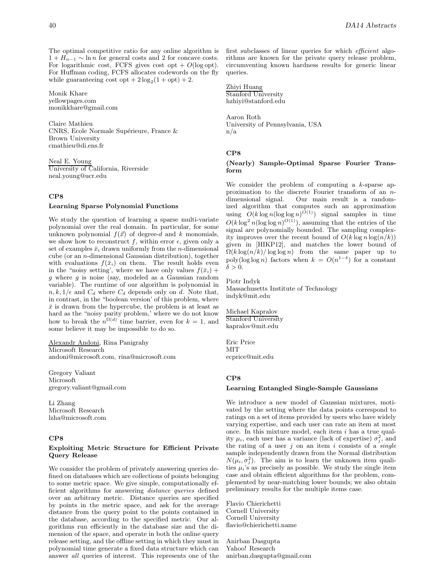The optimal competitive ratio for any online algorithm is  $1 + H_{n-1} \sim \ln n$  for general costs and 2 for concave costs. For logarithmic cost, FCFS gives cost opt  $+ O(\log opt)$ . For Huffman coding, FCFS allocates codewords on the fly while guaranteeing cost  $opt + 2 log_2(1 + opt) + 2$ .

Monik Khare yellowpages.com monikkhare@gmail.com

Claire Mathieu CNRS, Ecole Normale Supérieure, France & Brown University cmathieu@di.ens.fr

Neal E. Young University of California, Riverside neal.young@ucr.edu

# **CP8**

## **Learning Sparse Polynomial Functions**

We study the question of learning a sparse multi-variate polynomial over the real domain. In particular, for some unknown polynomial  $f(\vec{x})$  of degree-d and k monomials, we show how to reconstruct f, within error  $\epsilon$ , given only a set of examples  $\bar{x}_i$  drawn uniformly from the *n*-dimensional cube (or an n-dimensional Gaussian distribution), together with evaluations  $f(\bar{x}_i)$  on them. The result holds even in the "noisy setting', where we have only values  $f(\bar{x}_i)$  + g where g is noise (say, modeled as a Gaussian random variable). The runtime of our algorithm is polynomial in  $n, k, 1/\epsilon$  and  $C_d$  where  $C_d$  depends only on d. Note that, in contrast, in the "boolean version' of this problem, where  $\bar{x}$  is drawn from the hypercube, the problem is at least as hard as the "noisy parity problem,' where we do not know how to break the  $n^{\Omega(d)}$  time barrier, even for  $k = 1$ , and some believe it may be impossible to do so.

Alexandr Andoni, Rina Panigrahy Microsoft Research andoni@microsoft.com, rina@microsoft.com

Gregory Valiant Microsoft gregory.valiant@gmail.com

Li Zhang Microsoft Research lzha@microsoft.com

# **CP8**

#### **Exploiting Metric Structure for Efficient Private Query Release**

We consider the problem of privately answering queries defined on databases which are collections of points belonging to some metric space. We give simple, computationally efficient algorithms for answering *distance queries* defined over an arbitrary metric. Distance queries are specified by points in the metric space, and ask for the average distance from the query point to the points contained in the database, according to the specified metric. Our algorithms run efficiently in the database size and the dimension of the space, and operate in both the online query release setting, and the offline setting in which they must in polynomial time generate a fixed data structure which can answer all queries of interest. This represents one of the first subclasses of linear queries for which efficient algorithms are known for the private query release problem, circumventing known hardness results for generic linear queries.

Zhiyi Huang Stanford University hzhiyi@stanford.edu

Aaron Roth University of Pennsylvania, USA n/a

## **CP8**

# **(Nearly) Sample-Optimal Sparse Fourier Transform**

We consider the problem of computing a  $k$ -sparse approximation to the discrete Fourier transform of an ndimensional signal. Our main result is a randomized algorithm that computes such an approximation using  $O(k \log n (\log \log n)^{O(1)})$  signal samples in time  $O(k \log^2 n(\log \log n)^{O(1)})$ , assuming that the entries of the signal are polynomially bounded. The sampling complexity improves over the recent bound of  $O(k \log n \log(n/k))$ given in [HIKP12], and matches the lower bound of  $\Omega(k \log(n/k) / \log \log n)$  from the same paper up to poly(log log n) factors when  $k = O(n^{1-\delta})$  for a constant  $\delta > 0$ .

Piotr Indyk Massachusetts Institute of Technology indyk@mit.edu

Michael Kapralov Stanford University kapralov@mit.edu

Eric Price MIT ecprice@mit.edu

# **CP8**

#### **Learning Entangled Single-Sample Gaussians**

We introduce a new model of Gaussian mixtures, motivated by the setting where the data points correspond to ratings on a set of items provided by users who have widely varying expertise, and each user can rate an item at most once. In this mixture model, each item  $i$  has a true quality  $\mu_i$ , each user has a variance (lack of expertise)  $\sigma_j^2$ , and the rating of a user  $j$  on an item  $i$  consists of a *single* sample independently drawn from the Normal distribution  $N(\mu_i, \sigma_i^2)$ . The aim is to learn the unknown item qualities  $\mu_i$ 's as precisely as possible. We study the single item case and obtain efficient algorithms for the problem, complemented by near-matching lower bounds; we also obtain preliminary results for the multiple items case.

Flavio Chierichetti Cornell University Cornell University flavio@chierichetti.name

Anirban Dasgupta Yahoo! Research anirban.dasgupta@gmail.com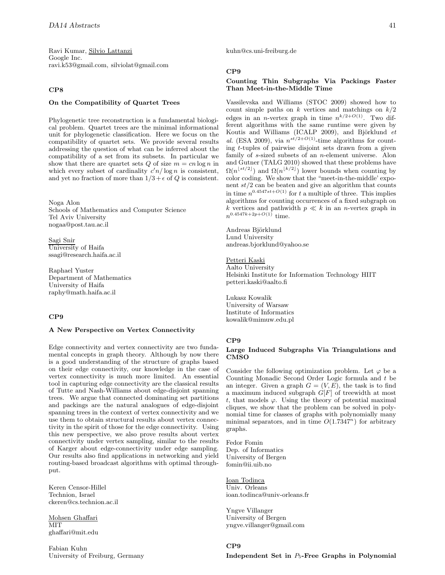Ravi Kumar, Silvio Lattanzi Google Inc. ravi.k53@gmail.com, silviolat@gmail.com

#### **CP8**

## **On the Compatibility of Quartet Trees**

Phylogenetic tree reconstruction is a fundamental biological problem. Quartet trees are the minimal informational unit for phylogenetic classification. Here we focus on the compatibility of quartet sets. We provide several results addressing the question of what can be inferred about the compatibility of a set from its subsets. In particular we show that there are quartet sets  $Q$  of size  $m = cn \log n$  in which every subset of cardinality  $c'n/\log n$  is consistent, and yet no fraction of more than  $1/3 + \epsilon$  of Q is consistent.

Noga Alon Schools of Mathematics and Computer Science Tel Aviv University nogaa@post.tau.ac.il

Sagi Snir University of Haifa ssagi@research.haifa.ac.il

Raphael Yuster Department of Mathematics University of Haifa raphy@math.haifa.ac.il

# **CP9**

## **A New Perspective on Vertex Connectivity**

Edge connectivity and vertex connectivity are two fundamental concepts in graph theory. Although by now there is a good understanding of the structure of graphs based on their edge connectivity, our knowledge in the case of vertex connectivity is much more limited. An essential tool in capturing edge connectivity are the classical results of Tutte and Nash-Williams about edge-disjoint spanning trees. We argue that connected dominating set partitions and packings are the natural analogues of edge-disjoint spanning trees in the context of vertex connectivity and we use them to obtain structural results about vertex connectivity in the spirit of those for the edge connectivity. Using this new perspective, we also prove results about vertex connectivity under vertex sampling, similar to the results of Karger about edge-connectivity under edge sampling. Our results also find applications in networking and yield routing-based broadcast algorithms with optimal throughput.

Keren Censor-Hillel Technion, Israel ckeren@cs.technion.ac.il

Mohsen Ghaffari MIT ghaffari@mit.edu

Fabian Kuhn University of Freiburg, Germany kuhn@cs.uni-freiburg.de

# **CP9**

# **Counting Thin Subgraphs Via Packings Faster Than Meet-in-the-Middle Time**

Vassilevska and Williams (STOC 2009) showed how to count simple paths on  $k$  vertices and matchings on  $k/2$ edges in an *n*-vertex graph in time  $n^{k/2+O(1)}$ . Two different algorithms with the same runtime were given by Koutis and Williams (ICALP 2009), and Björklund et al. (ESA 2009), via  $n^{st/2+O(1)}$ -time algorithms for counting  $t$ -tuples of pairwise disjoint sets drawn from a given family of s-sized subsets of an n-element universe. Alon and Gutner (TALG 2010) showed that these problems have  $\Omega(n^{\lfloor st/2 \rfloor})$  and  $\Omega(n^{\lfloor k/2 \rfloor})$  lower bounds when counting by color coding. We show that the "meet-in-the-middle' exponent  $st/2$  can be beaten and give an algorithm that counts in time  $n^{0.4547st+O(1)}$  for t a multiple of three. This implies algorithms for counting occurrences of a fixed subgraph on  $k$  vertices and pathwidth  $p \ll k$  in an  $n\text{-vertex graph}$  in  $n^{0.4547k+2p+O(1)}$  time.

Andreas Björklund Lund University andreas.bjorklund@yahoo.se

#### Petteri Kaski

Aalto University Helsinki Institute for Information Technology HIIT petteri.kaski@aalto.fi

Lukasz Kowalik University of Warsaw Institute of Informatics kowalik@mimuw.edu.pl

#### **CP9**

## **Large Induced Subgraphs Via Triangulations and CMSO**

Consider the following optimization problem. Let  $\varphi$  be a Counting Monadic Second Order Logic formula and t be an integer. Given a graph  $G = (V, E)$ , the task is to find a maximum induced subgraph G[F] of treewidth at most t, that models  $\varphi$ . Using the theory of potential maximal cliques, we show that the problem can be solved in polynomial time for classes of graphs with polynomially many minimal separators, and in time  $O(1.7347^n)$  for arbitrary graphs.

Fedor Fomin Dep. of Informatics University of Bergen fomin@ii.uib.no

Ioan Todinca Univ. Orleans ioan.todinca@univ-orleans.fr

Yngve Villanger University of Bergen yngve.villanger@gmail.com

# **CP9**

**Independent Set in** <sup>P</sup>5**-Free Graphs in Polynomial**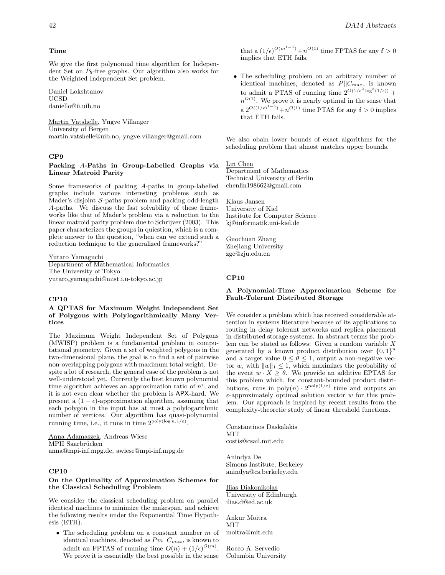## **Time**

We give the first polynomial time algorithm for Independent Set on  $P_5$ -free graphs. Our algorithm also works for the Weighted Independent Set problem.

Daniel Lokshtanov UCSD daniello@ii.uib.no

Martin Vatshelle, Yngve Villanger University of Bergen martin.vatshelle@uib.no, yngve.villanger@gmail.com

#### **CP9**

# **Packing** A**-Paths in Group-Labelled Graphs via Linear Matroid Parity**

Some frameworks of packing A-paths in group-labelled graphs include various interesting problems such as Mader's disjoint  $S$ -paths problem and packing odd-length A-paths. We discuss the fast solvability of these frameworks like that of Mader's problem via a reduction to the linear matroid parity problem due to Schrijver (2003). This paper characterizes the groups in quiestion, which is a complete answer to the question, "when can we extend such a reduction technique to the generalized frameworks?"

Yutaro Yamaguchi

Department of Mathematical Informatics The University of Tokyo yutaro yamaguchi@mist.i.u-tokyo.ac.jp

# **CP10**

#### **A QPTAS for Maximum Weight Independent Set of Polygons with Polylogarithmically Many Vertices**

The Maximum Weight Independent Set of Polygons (MWISP) problem is a fundamental problem in computational geometry. Given a set of weighted polygons in the two-dimensional plane, the goal is to find a set of pairwise non-overlapping polygons with maximum total weight. Despite a lot of research, the general case of the problem is not well-understood yet. Currently the best known polynomial time algorithm achieves an approximation ratio of  $n^{\epsilon}$ , and it is not even clear whether the problem is APX-hard. We present a  $(1 + \epsilon)$ -approximation algorithm, assuming that each polygon in the input has at most a polylogarithmic number of vertices. Our algorithm has quasi-polynomial running time, i.e., it runs in time  $2^{\text{poly}(\log n,1/\varepsilon)}$ .

Anna Adamaszek, Andreas Wiese MPII Saarbrücken anna@mpi-inf.mpg.de, awiese@mpi-inf.mpg.de

# **CP10**

## **On the Optimality of Approximation Schemes for the Classical Scheduling Problem**

We consider the classical scheduling problem on parallel identical machines to minimize the makespan, and achieve the following results under the Exponential Time Hypothesis (ETH).

• The scheduling problem on a constant number  $m$  of identical machines, denoted as  $Pm||C_{max}$ , is known to admit an FPTAS of running time  $O(n) + (1/\epsilon)^{O(m)}$ . We prove it is essentially the best possible in the sense

that a  $(1/\epsilon)^{O(m^{1-\delta})}+n^{O(1)}$  time FPTAS for any  $\delta > 0$ implies that ETH fails.

• The scheduling problem on an arbitrary number of identical machines, denoted as  $P||C_{max}$ , is known to admit a PTAS of running time  $2^{O(1/\epsilon^2\log^3(1/\epsilon))}$  +  $n^{O(1)}$ . We prove it is nearly optimal in the sense that a  $2^{O((1/\epsilon)^{1-\delta})}+n^{O(1)}$  time PTAS for any  $\delta > 0$  implies that ETH fails.

We also obain lower bounds of exact algorithms for the scheduling problem that almost matches upper bounds.

Lin Chen Department of Mathematics Technical University of Berlin chenlin198662@gmail.com

Klaus Jansen University of Kiel Institute for Computer Science kj@informatik.uni-kiel.de

Guochuan Zhang Zhejiang University zgc@zju.edu.cn

#### **CP10**

# **A Polynomial-Time Approximation Scheme for Fault-Tolerant Distributed Storage**

We consider a problem which has received considerable attention in systems literature because of its applications to routing in delay tolerant networks and replica placement in distributed storage systems. In abstract terms the problem can be stated as follows: Given a random variable X generated by a known product distribution over  $\{0,1\}^n$ and a target value  $0 \leq \theta \leq 1$ , output a non-negative vector w, with  $||w||_1 \leq 1$ , which maximizes the probability of<br>the great  $w \times 2$ , We provide an additive EPTAS for the event  $w \cdot X \geq \theta$ . We provide an additive EPTAS for this problem which, for constant-bounded product distributions, runs in  $poly(n) \cdot 2^{poly(1/\varepsilon)}$  time and outputs an  $\varepsilon$ -approximately optimal solution vector w for this problem. Our approach is inspired by recent results from the complexity-theoretic study of linear threshold functions.

Constantinos Daskalakis **MIT** costis@csail.mit.edu

Anindya De Simons Institute, Berkeley anindya@cs.berkeley.edu

Ilias Diakonikolas University of Edinburgh ilias.d@ed.ac.uk

Ankur Moitra MIT moitra@mit.edu

Rocco A. Servedio Columbia University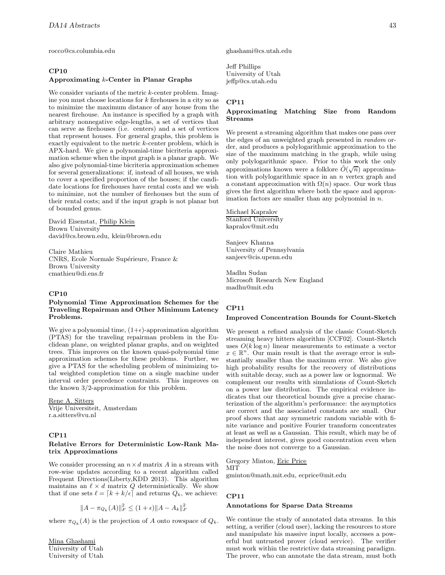rocco@cs.columbia.edu

# **CP10**

#### **Approximating** k**-Center in Planar Graphs**

We consider variants of the metric k-center problem. Imagine you must choose locations for  $k$  firehouses in a city so as to minimize the maximum distance of any house from the nearest firehouse. An instance is specified by a graph with arbitrary nonnegative edge-lengths, a set of vertices that can serve as firehouses (i.e. centers) and a set of vertices that represent houses. For general graphs, this problem is exactly equivalent to the metric k-center problem, which is APX-hard. We give a polynomial-time bicriteria approximation scheme when the input graph is a planar graph. We also give polynomial-time bicriteria approximation schemes for several generalizations: if, instead of all houses, we wish to cover a specified proportion of the houses; if the candidate locations for firehouses have rental costs and we wish to minimize, not the number of firehouses but the sum of their rental costs; and if the input graph is not planar but of bounded genus.

David Eisenstat, Philip Klein Brown University david@cs.brown.edu, klein@brown.edu

Claire Mathieu CNRS, Ecole Normale Supérieure, France & Brown University cmathieu@di.ens.fr

#### **CP10**

## **Polynomial Time Approximation Schemes for the Traveling Repairman and Other Minimum Latency Problems.**

We give a polynomial time,  $(1+\epsilon)$ -approximation algorithm (PTAS) for the traveling repairman problem in the Euclidean plane, on weighted planar graphs, and on weighted trees. This improves on the known quasi-polynomial time approximation schemes for these problems. Further, we give a PTAS for the scheduling problem of minimizing total weighted completion time on a single machine under interval order precedence constraints. This improves on the known 3/2-approximation for this problem.

Rene A. Sitters Vrije Universiteit, Amsterdam r.a.sitters@vu.nl

# **CP11**

# **Relative Errors for Deterministic Low-Rank Matrix Approximations**

We consider processing an  $n\times d$  matrix  $A$  in a stream with row-wise updates according to a recent algorithm called Frequent Directions(Liberty,KDD 2013). This algorithm maintains an  $\ell \times d$  matrix  $Q$  deterministically. We show that if one sets  $\ell = [k + k/\epsilon]$  and returns  $Q_k$ , we achieve:

$$
||A - \pi_{Q_k}(A)||_F^2 \le (1 + \epsilon) ||A - A_k||_F^2
$$

where  $\pi_{Q_k}(A)$  is the projection of A onto rowspace of  $Q_k$ .

Mina Ghashami University of Utah University of Utah ghashami@cs.utah.edu

Jeff Phillips University of Utah jeffp@cs.utah.edu

## **CP11**

# **Approximating Matching Size from Random Streams**

We present a streaming algorithm that makes one pass over the edges of an unweighted graph presented in random order, and produces a polylogarithmic approximation to the size of the maximum matching in the graph, while using only polylogarithmic space. Prior to this work the only omy polylogarithmic space. Then to this work the omy approximations known were a folklore  $\tilde{O}(\sqrt{n})$  approximation with polylogarithmic space in an  $n$  vertex graph and a constant approximation with  $\Omega(n)$  space. Our work thus gives the first algorithm where both the space and approximation factors are smaller than any polynomial in  $n$ .

Michael Kapralov Stanford University kapralov@mit.edu

Sanjeev Khanna University of Pennsylvania sanjeev@cis.upenn.edu

Madhu Sudan Microsoft Research New England madhu@mit.edu

# **CP11**

#### **Improved Concentration Bounds for Count-Sketch**

We present a refined analysis of the classic Count-Sketch streaming heavy hitters algorithm [CCF02]. Count-Sketch uses  $O(k \log n)$  linear measurements to estimate a vector  $x \in \mathbb{R}^n$ . Our main result is that the average error is substantially smaller than the maximum error. We also give high probability results for the recovery of distributions with suitable decay, such as a power law or lognormal. We complement our results with simulations of Count-Sketch on a power law distribution. The empirical evidence indicates that our theoretical bounds give a precise characterization of the algorithm's performance: the asymptotics are correct and the associated constants are small. Our proof shows that any symmetric random variable with finite variance and positive Fourier transform concentrates at least as well as a Gaussian. This result, which may be of independent interest, gives good concentration even when the noise does not converge to a Gaussian.

Gregory Minton, Eric Price MIT gminton@math.mit.edu, ecprice@mit.edu

#### **CP11**

## **Annotations for Sparse Data Streams**

We continue the study of annotated data streams. In this setting, a verifier (cloud user), lacking the resources to store and manipulate his massive input locally, accesses a powerful but untrusted prover (cloud service). The verifier must work within the restrictive data streaming paradigm. The prover, who can annotate the data stream, must both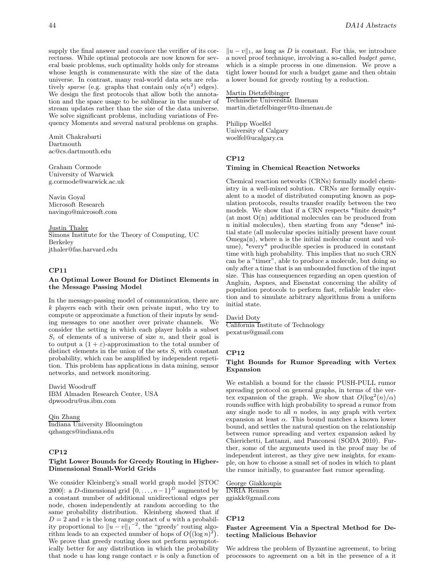supply the final answer and convince the verifier of its correctness. While optimal protocols are now known for several basic problems, such optimality holds only for streams whose length is commensurate with the size of the data universe. In contrast, many real-world data sets are relatively sparse (e.g. graphs that contain only  $o(n^2)$  edges). We design the first protocols that allow both the annotation and the space usage to be sublinear in the number of stream updates rather than the size of the data universe. We solve significant problems, including variations of Frequency Moments and several natural problems on graphs.

Amit Chakrabarti Dartmouth ac@cs.dartmouth.edu

Graham Cormode University of Warwick g.cormode@warwick.ac.uk

Navin Goyal Microsoft Research navingo@microsoft.com

# Justin Thaler

Simons Institute for the Theory of Computing, UC Berkeley jthaler@fas.harvard.edu

# **CP11**

## **An Optimal Lower Bound for Distinct Elements in the Message Passing Model**

In the message-passing model of communication, there are k players each with their own private input, who try to compute or approximate a function of their inputs by sending messages to one another over private channels. We consider the setting in which each player holds a subset  $S_i$  of elements of a universe of size n, and their goal is to output a  $(1 + \varepsilon)$ -approximation to the total number of distinct elements in the union of the sets  $S_i$  with constant probability, which can be amplified by independent repetition. This problem has applications in data mining, sensor networks, and network monitoring.

David Woodruff IBM Almaden Research Center, USA dpwoodru@us.ibm.com

Qin Zhang Indiana University Bloomington qzhangcs@indiana.edu

# **CP12**

## **Tight Lower Bounds for Greedy Routing in Higher-Dimensional Small-World Grids**

We consider Kleinberg's small world graph model [STOC 2000]: a D-dimensional grid  $\{0,\ldots,n-1\}^D$  augmented by a constant number of additional unidirectional edges per node, chosen independently at random according to the same probability distribution. Kleinberg showed that if  $D = 2$  and v is the long range contact of u with a probability proportional to  $||u - v||_1^{-2}$ , the "greedy' routing algorithm leads to an expected number of hops of  $O((\log n)^2)$ . We prove that greedy routing does not perform asymptotically better for any distribution in which the probability that node  $u$  has long range contact  $v$  is only a function of

 $||u - v||_1$ , as long as D is constant. For this, we introduce a novel proof technique, involving a so-called budget game, which is a simple process in one dimension. We prove a tight lower bound for such a budget game and then obtain a lower bound for greedy routing by a reduction.

Martin Dietzfelbinger Technische Universität Ilmenau martin.dietzfelbinger@tu-ilmenau.de

Philipp Woelfel University of Calgary woelfel@ucalgary.ca

# **CP12**

#### **Timing in Chemical Reaction Networks**

Chemical reaction networks (CRNs) formally model chemistry in a well-mixed solution. CRNs are formally equivalent to a model of distributed computing known as population protocols, results transfer readily between the two models. We show that if a CRN respects \*finite density\*  $(\text{at most } O(n)$  additional molecules can be produced from n initial molecules), then starting from any \*dense\* initial state (all molecular species initially present have count  $Omega(n)$ , where n is the initial molecular count and volume), \*every\* producible species is produced in constant time with high probability. This implies that no such CRN can be a "timer", able to produce a molecule, but doing so only after a time that is an unbounded function of the input size. This has consequences regarding an open question of Angluin, Aspnes, and Eisenstat concerning the ability of population protocols to perform fast, reliable leader election and to simulate arbitrary algorithms from a uniform initial state.

## David Doty

California Institute of Technology pexatus@gmail.com

#### **CP12**

# **Tight Bounds for Rumor Spreading with Vertex Expansion**

We establish a bound for the classic PUSH-PULL rumor spreading protocol on general graphs, in terms of the vertex expansion of the graph. We show that  $O(\log^2(n)/\alpha)$ rounds suffice with high probability to spread a rumor from any single node to all  $n$  nodes, in any graph with vertex expansion at least  $\alpha$ . This bound matches a known lower bound, and settles the natural question on the relationship between rumor spreading and vertex expansion asked by Chierichetti, Lattanzi, and Panconesi (SODA 2010). Further, some of the arguments used in the proof may be of independent interest, as they give new insights, for example, on how to choose a small set of nodes in which to plant the rumor initially, to guarantee fast rumor spreading.

George Giakkoupis INRIA Rennes ggiakk@gmail.com

## **CP12**

#### **Faster Agreement Via a Spectral Method for Detecting Malicious Behavior**

We address the problem of Byzantine agreement, to bring processors to agreement on a bit in the presence of a it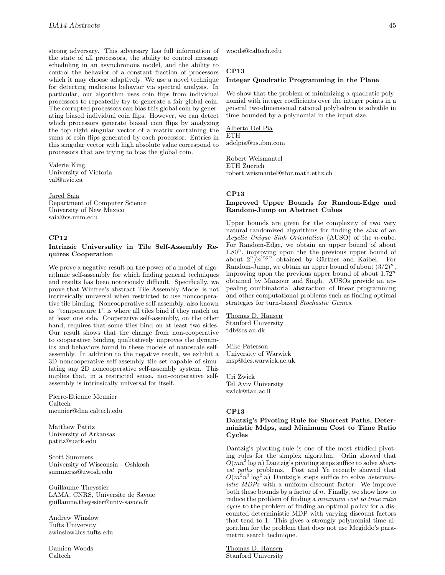strong adversary. This adversary has full information of the state of all processors, the ability to control message scheduling in an asynchronous model, and the ability to control the behavior of a constant fraction of processors which it may choose adaptively. We use a novel technique for detecting malicious behavior via spectral analysis. In particular, our algorithm uses coin flips from individual processors to repeatedly try to generate a fair global coin. The corrupted processors can bias this global coin by generating biased individual coin flips. However, we can detect which processors generate biased coin flips by analyzing the top right singular vector of a matrix containing the sums of coin flips generated by each processor. Entries in this singular vector with high absolute value correspond to processors that are trying to bias the global coin.

Valerie King University of Victoria val@uvic.ca

## Jared Saia

Department of Computer Science University of New Mexico saia@cs.unm.edu

#### **CP12**

# **Intrinsic Universality in Tile Self-Assembly Requires Cooperation**

We prove a negative result on the power of a model of algorithmic self-assembly for which finding general techniques and results has been notoriously difficult. Specifically, we prove that Winfree's abstract Tile Assembly Model is not intrinsically universal when restricted to use noncooperative tile binding. Noncooperative self-assembly, also known as "temperature 1', is where all tiles bind if they match on at least one side. Cooperative self-assembly, on the other hand, requires that some tiles bind on at least two sides. Our result shows that the change from non-cooperative to cooperative binding qualitatively improves the dynamics and behaviors found in these models of nanoscale selfassembly. In addition to the negative result, we exhibit a 3D noncooperative self-assembly tile set capable of simulating any 2D noncooperative self-assembly system. This implies that, in a restricted sense, non-cooperative selfassembly is intrinsically universal for itself.

Pierre-Etienne Meunier Caltech meunier@dna.caltech.edu

Matthew Patitz University of Arkansas patitz@uark.edu

Scott Summers University of Wisconsin - Oshkosh summerss@uwosh.edu

Guillaume Theyssier LAMA, CNRS, Universite de Savoie guillaume.theyssier@univ-savoie.fr

Andrew Winslow Tufts University awinslow@cs.tufts.edu

Damien Woods Caltech

woods@caltech.edu

# **CP13**

# **Integer Quadratic Programming in the Plane**

We show that the problem of minimizing a quadratic polynomial with integer coefficients over the integer points in a general two-dimensional rational polyhedron is solvable in time bounded by a polynomial in the input size.

Alberto Del Pia ETH adelpia@us.ibm.com

Robert Weismantel ETH Zuerich robert.weismantel@ifor.math.ethz.ch

#### **CP13**

## **Improved Upper Bounds for Random-Edge and Random-Jump on Abstract Cubes**

Upper bounds are given for the complexity of two very natural randomized algorithms for finding the sink of an Acyclic Unique Sink Orientation (AUSO) of the n-cube. For Random-Edge, we obtain an upper bound of about  $1.80<sup>n</sup>$ , improving upon the the previous upper bound of about  $2^n/n^{\log n}$  obtained by Gärtner and Kaibel. For Random-Jump, we obtain an upper bound of about  $(3/2)^n$ , improving upon the previous upper bound of about  $1.72^n$ obtained by Mansour and Singh. AUSOs provide an appealing combinatorial abstraction of linear programming and other computational problems such as finding optimal strategies for turn-based Stochastic Games.

# Thomas D. Hansen

Stanford University tdh@cs.au.dk

Mike Paterson University of Warwick msp@dcs.warwick.ac.uk

Uri Zwick Tel Aviv University zwick@tau.ac.il

# **CP13**

## **Dantzig's Pivoting Rule for Shortest Paths, Deterministic Mdps, and Minimum Cost to Time Ratio Cycles**

Dantzig's pivoting rule is one of the most studied pivoting rules for the simplex algorithm. Orlin showed that  $O(mn^2 \log n)$  Dantzig's pivoting steps suffice to solve shortest paths problems. Post and Ye recently showed that  $O(m^2n^3 \log^2 n)$  Dantzig's steps suffice to solve *determin*istic MDPs with a uniform discount factor. We improve both these bounds by a factor of  $n$ . Finally, we show how to reduce the problem of finding a minimum cost to time ratio cycle to the problem of finding an optimal policy for a discounted deterministic MDP with varying discount factors that tend to 1. This gives a strongly polynomial time algorithm for the problem that does not use Megiddo's parametric search technique.

Thomas D. Hansen Stanford University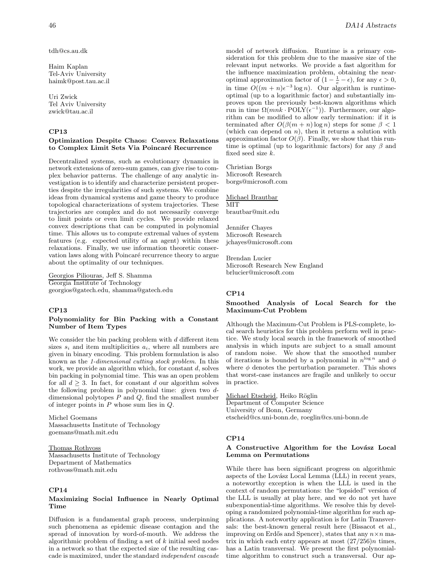tdh@cs.au.dk

Haim Kaplan Tel-Aviv University haimk@post.tau.ac.il

Uri Zwick Tel Aviv University zwick@tau.ac.il

# **CP13**

# **Optimization Despite Chaos: Convex Relaxations** to Complex Limit Sets Via Poincaré Recurrence

Decentralized systems, such as evolutionary dynamics in network extensions of zero-sum games, can give rise to complex behavior patterns. The challenge of any analytic investigation is to identify and characterize persistent properties despite the irregularities of such systems. We combine ideas from dynamical systems and game theory to produce topological characterizations of system trajectories. These trajectories are complex and do not necessarily converge to limit points or even limit cycles. We provide relaxed convex descriptions that can be computed in polynomial time. This allows us to compute extremal values of system features (e.g. expected utility of an agent) within these relaxations. Finally, we use information theoretic conservation laws along with Poincaré recurrence theory to argue about the optimality of our techniques.

Georgios Piliouras, Jeff S. Shamma Georgia Institute of Technology georgios@gatech.edu, shamma@gatech.edu

# **CP13**

#### **Polynomiality for Bin Packing with a Constant Number of Item Types**

We consider the bin packing problem with  $d$  different item sizes  $s_i$  and item multiplicities  $a_i$ , where all numbers are given in binary encoding. This problem formulation is also known as the 1-dimensional cutting stock problem. In this work, we provide an algorithm which, for constant  $d$ , solves bin packing in polynomial time. This was an open problem for all  $d \geq 3$ . In fact, for constant d our algorithm solves the following problem in polynomial time: given two ddimensional polytopes  $P$  and  $Q$ , find the smallest number of integer points in  $P$  whose sum lies in  $Q$ .

Michel Goemans Massachusetts Institute of Technology goemans@math.mit.edu

#### Thomas Rothvoss

Massachusetts Institute of Technology Department of Mathematics rothvoss@math.mit.edu

## **CP14**

## **Maximizing Social Influence in Nearly Optimal Time**

Diffusion is a fundamental graph process, underpinning such phenomena as epidemic disease contagion and the spread of innovation by word-of-mouth. We address the algorithmic problem of finding a set of  $k$  initial seed nodes in a network so that the expected size of the resulting cascade is maximized, under the standard independent cascade model of network diffusion. Runtime is a primary consideration for this problem due to the massive size of the relevant input networks. We provide a fast algorithm for the influence maximization problem, obtaining the nearoptimal approximation factor of  $(1 - \frac{1}{e} - \epsilon)$ , for any  $\epsilon > 0$ , in time  $O((m+n)\epsilon^{-3}\log n)$ . Our algorithm is runtimeoptimal (up to a logarithmic factor) and substantially improves upon the previously best-known algorithms which run in time  $\Omega(mnk \cdot \text{POLY}(\epsilon^{-1}))$ . Furthermore, our algorithm can be modified to allow early termination: if it is terminated after  $O(\beta(m+n)\log n)$  steps for some  $\beta < 1$ (which can depend on  $n$ ), then it returns a solution with approximation factor  $O(\beta)$ . Finally, we show that this runtime is optimal (up to logarithmic factors) for any  $\beta$  and fixed seed size k.

Christian Borgs Microsoft Research borgs@microsoft.com

Michael Brautbar MIT brautbar@mit.edu

Jennifer Chayes Microsoft Research jchayes@microsoft.com

Brendan Lucier Microsoft Research New England brlucier@microsoft.com

## **CP14**

# **Smoothed Analysis of Local Search for the Maximum-Cut Problem**

Although the Maximum-Cut Problem is PLS-complete, local search heuristics for this problem perform well in practice. We study local search in the framework of smoothed analysis in which inputs are subject to a small amount of random noise. We show that the smoothed number of iterations is bounded by a polynomial in  $n^{\log n}$  and  $\phi$ where  $\phi$  denotes the perturbation parameter. This shows that worst-case instances are fragile and unlikely to occur in practice.

Michael Etscheid, Heiko Röglin Department of Computer Science University of Bonn, Germany etscheid@cs.uni-bonn.de, roeglin@cs.uni-bonn.de

## **CP14**

# A Constructive Algorithm for the Lovász Local **Lemma on Permutations**

While there has been significant progress on algorithmic aspects of the Lovász Local Lemma (LLL) in recent years, a noteworthy exception is when the LLL is used in the context of random permutations: the "lopsided" version of the LLL is usually at play here, and we do not yet have subexponential-time algorithms. We resolve this by developing a randomized polynomial-time algorithm for such applications. A noteworthy application is for Latin Transversals: the best-known general result here (Bissacot et al., improving on Erdős and Spencer), states that any  $n \times n$  matrix in which each entry appears at most  $(27/256)n$  times, has a Latin transversal. We present the first polynomialtime algorithm to construct such a transversal. Our ap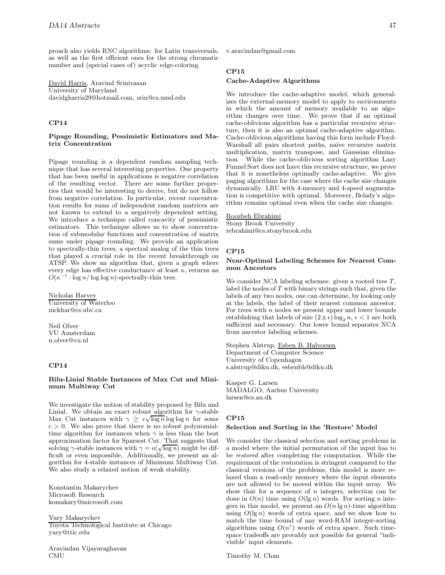proach also yields RNC algorithms: for Latin transversals, as well as the first efficient ones for the strong chromatic number and (special cases of) acyclic edge-coloring.

David Harris, Aravind Srinivasan University of Maryland davidgharris29@hotmail.com, srin@cs.umd.edu

# **CP14**

## **Pipage Rounding, Pessimistic Estimators and Matrix Concentration**

Pipage rounding is a dependent random sampling technique that has several interesting properties. One property that has been useful in applications is negative correlation of the resulting vector. There are some further properties that would be interesting to derive, but do not follow from negative correlation. In particular, recent concentration results for sums of independent random matrices are not known to extend to a negatively dependent setting. We introduce a technique called concavity of pessimistic estimators. This technique allows us to show concentration of submodular functions and concentration of matrix sums under pipage rounding. We provide an application to spectrally-thin trees, a spectral analog of the thin trees that played a crucial role in the recent breakthrough on ATSP. We show an algorithm that, given a graph where every edge has effective conductance at least  $\kappa$ , returns an  $O(\kappa^{-1} \cdot \log n / \log \log n)$ -spectrally-thin tree.

Nicholas Harvey University of Waterloo nickhar@cs.ubc.ca

Neil Olver VU Amsterdam n.olver@vu.nl

#### **CP14**

## **Bilu-Linial Stable Instances of Max Cut and Minimum Multiway Cut**

We investigate the notion of stability proposed by Bilu and Linial. We obtain an exact robust algorithm for  $\gamma$ -stable Limai. We obtain an exact robust algorithm for  $\gamma$ -stable<br>Max Cut instances with  $\gamma \geq c\sqrt{\log n} \log \log n$  for some  $c > 0$ . We also prove that there is no robust polynomialtime algorithm for instances when  $\gamma$  is less than the best approximation factor for Sparsest Cut. That suggests that approximation ractor for sparsest Cut. That suggests that<br>solving  $\gamma$ -stable instances with  $\gamma = o(\sqrt{\log n})$  might be difficult or even impossible. Additionally, we present an algorithm for 4-stable instances of Minimum Multiway Cut. We also study a relaxed notion of weak stability.

Konstantin Makarychev Microsoft Research komakary@microsoft.com

Yury Makarychev Toyota Technological Institute at Chicago yury@ttic.edu

Aravindan Vijayaraghavan CMU

v.aravindan@gmail.com

# **CP15**

## **Cache-Adaptive Algorithms**

We introduce the cache-adaptive model, which generalizes the external-memory model to apply to environments in which the amount of memory available to an algorithm changes over time. We prove that if an optimal cache-oblivious algorithm has a particular recursive structure, then it is also an optimal cache-adaptive algorithm. Cache-oblivious algorithms having this form include Floyd-Warshall all pairs shortest paths, naïve recursive matrix multiplication, matrix transpose, and Gaussian elimination. While the cache-oblivious sorting algorithm Lazy Funnel Sort does not have this recursive structure, we prove that it is nonetheless optimally cache-adaptive. We give paging algorithms for the case where the cache size changes dynamically. LRU with 4-memory and 4-speed augmentation is competitive with optimal. Moreover, Belady's algorithm remains optimal even when the cache size changes.

# Roozbeh Ebrahimi

Stony Brook University rebrahimi@cs.stonybrook.edu

# **CP15**

### **Near-Optimal Labeling Schemes for Nearest Common Ancestors**

We consider NCA labeling schemes: given a rooted tree  $T$ , label the nodes of T with binary strings such that, given the labels of any two nodes, one can determine, by looking only at the labels, the label of their nearest common ancestor. For trees with  $n$  nodes we present upper and lower bounds establishing that labels of size  $(2 \pm \epsilon) \log_2 n$ ,  $\epsilon < 1$  are both sufficient and necessary. Our lower bound separates NCA sufficient and necessary. Our lower bound separates NCA from ancestor labeling schemes.

Stephen Alstrup, Esben B. Halvorsen Department of Computer Science University of Copenhagen s.alstrup@diku.dk, esbenbh@diku.dk

Kasper G. Larsen MADALGO, Aarhus University larsen@cs.au.dk

# **CP15**

#### **Selection and Sorting in the 'Restore' Model**

We consider the classical selection and sorting problems in a model where the initial permutation of the input has to be restored after completing the computation. While the requirement of the restoration is stringent compared to the classical versions of the problems, this model is more relaxed than a read-only memory where the input elements are not allowed to be moved within the input array. We show that for a sequence of  $n$  integers, selection can be done in  $O(n)$  time using  $O(\lg n)$  words. For sorting n integers in this model, we present an  $O(n \lg n)$ -time algorithm using  $O(\lg n)$  words of extra space, and we show how to match the time bound of any word-RAM integer-sorting algorithms using  $O(n^{\epsilon})$  words of extra space. Such timespace tradeoffs are provably not possible for general "indivisible' input elements.

Timothy M. Chan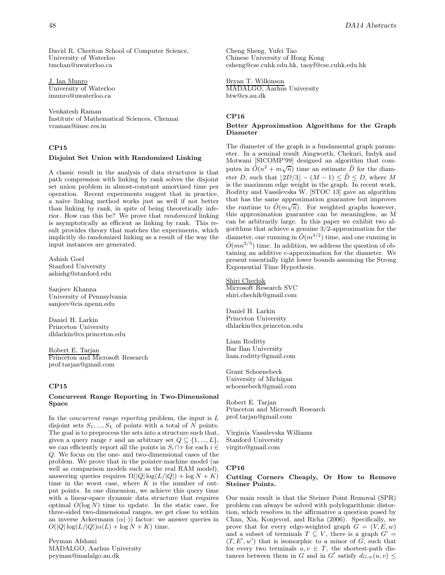David R. Cheriton School of Computer Science, University of Waterloo tmchan@uwaterloo.ca

J. Ian Munro University of Waterloo imunro@uwaterloo.ca

Venkatesh Raman Institute of Mathematical Sciences, Chennai vraman@imsc.res.in

# **CP15**

## **Disjoint Set Union with Randomized Linking**

A classic result in the analysis of data structures is that path compression with linking by rank solves the disjoint set union problem in almost-constant amortized time per operation. Recent experiments suggest that in practice, a na¨ıve linking method works just as well if not better than linking by rank, in spite of being theoretically inferior. How can this be? We prove that randomized linking is asymptotically as efficient as linking by rank. This result provides theory that matches the experiments, which implicitly do randomized linking as a result of the way the input instances are generated.

Ashish Goel Stanford University ashishg@stanford.edu

Sanjeev Khanna University of Pennsylvania sanjeev@cis.upenn.edu

Daniel H. Larkin Princeton University dhlarkin@cs.princeton.edu

Robert E. Tarjan Princeton and Microsoft Research prof.tarjan@gmail.com

#### **CP15**

# **Concurrent Range Reporting in Two-Dimensional Space**

In the *concurrent range reporting* problem, the input is  $L$ disjoint sets  $S_1, ..., S_L$  of points with a total of N points. The goal is to preprocess the sets into a structure such that, given a query range r and an arbitrary set  $Q \subseteq \{1, ..., L\}$ , we can efficiently report all the points in  $S_i \cap r$  for each  $i \in$ Q. We focus on the one- and two-dimensional cases of the problem. We prove that in the pointer-machine model (as well as comparison models such as the real RAM model), answering queries requires  $\Omega(|Q| \log(L/|Q|) + \log N + K)$ time in the worst case, where  $K$  is the number of output points. In one dimension, we achieve this query time with a linear-space dynamic data structure that requires optimal  $O(\log N)$  time to update. In the static case, for three-sided two-dimensional ranges, we get close to within an inverse Ackermann  $(\alpha(\cdot))$  factor: we answer queries in  $O(|Q|\log(L/|Q|)\alpha(L) + \log N + K)$  time.

Peyman Afshani MADALGO, Aarhus University peyman@madalgo.au.dk

Cheng Sheng, Yufei Tao Chinese University of Hong Kong csheng@cse.cuhk.edu.hk, taoyf@cse.cuhk.edu.hk

Bryan T. Wilkinson MADALGO, Aarhus University btw@cs.au.dk

# **CP16**

# **Better Approximation Algorithms for the Graph Diameter**

The diameter of the graph is a fundamental graph parameter. In a seminal result Aingworth, Chekuri, Indyk and Motwani [SICOMP'99] designed an algorithm that computes in  $\tilde{O}(n^2 + m\sqrt{n})$  time an estimate  $\tilde{D}$  for the diameter D, such that  $|2D/3| - (M-1) \leq \tilde{D} \leq D$ , where M is the maximum edge weight in the graph. In recent work, Roditty and Vassilevska W. [STOC 13] gave an algorithm that has the same approximation guarantee but improves the runtime to  $\tilde{O}(m\sqrt{n})$ . For weighted graphs however, this approximation guarantee can be meaningless, as M can be arbitrarily large. In this paper we exhibit two algorithms that achieve a genuine  $3/2$ -approximation for the diameter, one running in  $\tilde{O}(m^{3/2})$  time, and one running in  $\tilde{O}(mn^{2/3})$  time. In addition, we address the question of obtaining an additive c-approximation for the diameter. We present essentially tight lower bounds assuming the Strong Exponential Time Hypothesis.

Shiri Chechik Microsoft Research SVC shiri.chechik@gmail.com

Daniel H. Larkin Princeton University dhlarkin@cs.princeton.edu

Liam Roditty Bar Ilan University liam.roditty@gmail.com

Grant Schoenebeck University of Michigan schoenebeck@gmail.com

Robert E. Tarjan Princeton and Microsoft Research prof.tarjan@gmail.com

Virginia Vassilevska Williams Stanford University virgito@gmail.com

#### **CP16**

#### **Cutting Corners Cheaply, Or How to Remove Steiner Points.**

Our main result is that the Steiner Point Removal (SPR) problem can always be solved with polylogarithmic distortion, which resolves in the affirmative a question posed by Chan, Xia, Konjevod, and Richa (2006). Specifically, we prove that for every edge-weighted graph  $G = (V, E, w)$ and a subset of terminals  $T \subseteq V$ , there is a graph  $G' =$  $(T, E', w')$  that is isomorphic to a minor of G, such that for every two terminals  $u, v \in T$ , the shortest-path distances between them in G and in G' satisfy  $d_{G,w}(u, v) \leq$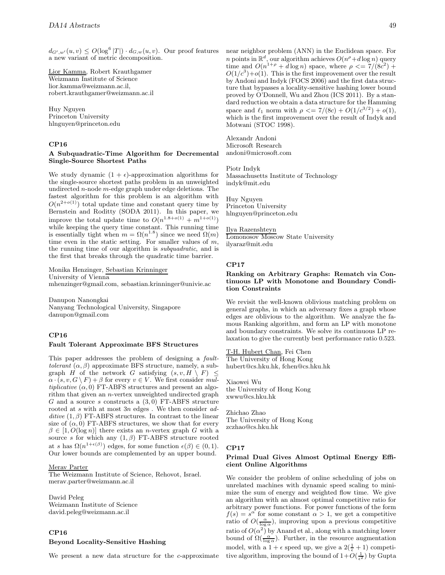$d_{G',w'}(u,v) \leq O(\log^6 |T|) \cdot d_{G,w}(u,v)$ . Our proof features a new variant of metric decomposition.

Lior Kamma, Robert Krauthgamer Weizmann Institute of Science lior.kamma@weizmann.ac.il, robert.krauthgamer@weizmann.ac.il

Huy Nguyen Princeton University hlnguyen@princeton.edu

# **CP16**

# **A Subquadratic-Time Algorithm for Decremental Single-Source Shortest Paths**

We study dynamic  $(1 + \epsilon)$ -approximation algorithms for the single-source shortest paths problem in an unweighted undirected *n*-node  $m$ -edge graph under edge deletions. The fastest algorithm for this problem is an algorithm with  $O(n^{2+o(1)})$  total update time and constant query time by Bernstein and Roditty (SODA 2011). In this paper, we improve the total update time to  $O(n^{1.8+o(1)} + m^{1+o(1)})$ while keeping the query time constant. This running time is essentially tight when  $m = \Omega(n^{1.8})$  since we need  $\Omega(m)$ time even in the static setting. For smaller values of  $m$ , the running time of our algorithm is *subquadratic*, and is the first that breaks through the quadratic time barrier.

Monika Henzinger, Sebastian Krinninger University of Vienna mhenzinger@gmail.com, sebastian.krinninger@univie.ac

Danupon Nanongkai Nanyang Technological University, Singapore danupon@gmail.com

# **CP16**

#### **Fault Tolerant Approximate BFS Structures**

This paper addresses the problem of designing a faulttolerant  $(\alpha, \beta)$  approximate BFS structure, namely, a subgraph H of the network G satisfying  $(s, v, H \setminus F) \leq$  $\alpha \cdot (s, v, G \setminus F) + \beta$  for every  $v \in V$ . We first consider multiplicative  $(\alpha, 0)$  FT-ABFS structures and present an algorithm that given an n-vertex unweighted undirected graph G and a source s constructs a  $(3,0)$  FT-ABFS structure rooted at  $s$  with at most  $3n$  edges . We then consider  $ad$ ditive  $(1, \beta)$  FT-ABFS structures. In contrast to the linear size of  $(\alpha, 0)$  FT-ABFS structures, we show that for every  $\beta \in [1, O(\log n)]$  there exists an *n*-vertex graph G with a source s for which any  $(1, \beta)$  FT-ABFS structure rooted at s has  $\Omega(n^{1+\epsilon(\beta)})$  edges, for some function  $\epsilon(\beta) \in (0,1)$ . Our lower bounds are complemented by an upper bound.

#### Merav Parter

The Weizmann Institute of Science, Rehovot, Israel. merav.parter@weizmann.ac.il

David Peleg Weizmann Institute of Science david.peleg@weizmann.ac.il

#### **CP16**

## **Beyond Locality-Sensitive Hashing**

We present a new data structure for the c-approximate

near neighbor problem (ANN) in the Euclidean space. For n points in  $\mathbb{R}^d$ , our algorithm achieves  $O(n^{\rho} + d \log n)$  query time and  $O(n^{1+\rho} + d \log n)$  space, where  $\rho \leq 7/(8c^2) +$  $O(1/c^3)+o(1)$ . This is the first improvement over the result by Andoni and Indyk (FOCS 2006) and the first data structure that bypasses a locality-sensitive hashing lower bound proved by O'Donnell, Wu and Zhou (ICS 2011). By a standard reduction we obtain a data structure for the Hamming space and  $\ell_1$  norm with  $\rho \leq 7/(8c) + O(1/c^{3/2}) + o(1)$ , which is the first improvement over the result of Indyk and Motwani (STOC 1998).

Alexandr Andoni Microsoft Research andoni@microsoft.com

Piotr Indyk Massachusetts Institute of Technology indyk@mit.edu

Huy Nguyen Princeton University hlnguyen@princeton.edu

Ilya Razenshteyn Lomonosov Moscow State University ilyaraz@mit.edu

#### **CP17**

## **Ranking on Arbitrary Graphs: Rematch via Continuous LP with Monotone and Boundary Condition Constraints**

We revisit the well-known oblivious matching problem on general graphs, in which an adversary fixes a graph whose edges are oblivious to the algorithm. We analyze the famous Ranking algorithm, and form an LP with monotone and boundary constraints. We solve its continuous LP relaxation to give the currently best performance ratio 0.523.

T-H. Hubert Chan, Fei Chen The University of Hong Kong hubert@cs.hku.hk, fchen@cs.hku.hk

Xiaowei Wu the University of Hong Kong xwwu@cs.hku.hk

Zhichao Zhao The University of Hong Kong zczhao@cs.hku.hk

#### **CP17**

## **Primal Dual Gives Almost Optimal Energy Efficient Online Algorithms**

We consider the problem of online scheduling of jobs on unrelated machines with dynamic speed scaling to minimize the sum of energy and weighted flow time. We give an algorithm with an almost optimal competitive ratio for arbitrary power functions. For power functions of the form  $f(s) = s^{\alpha}$  for some constant  $\alpha > 1$ , we get a competitive ratio of  $O(\frac{\alpha}{\log n})$ , improving upon a previous competitive ratio of  $O(\alpha^2)$  by Anand et al., along with a matching lower bound of  $\Omega(\frac{\alpha}{\log \alpha})$ . Further, in the resource augmentation model, with a  $1 + \epsilon$  speed up, we give a  $2(\frac{1}{\epsilon} + 1)$  competitive algorithm, improving the bound of  $1+O(\frac{1}{\epsilon^2})$  by Gupta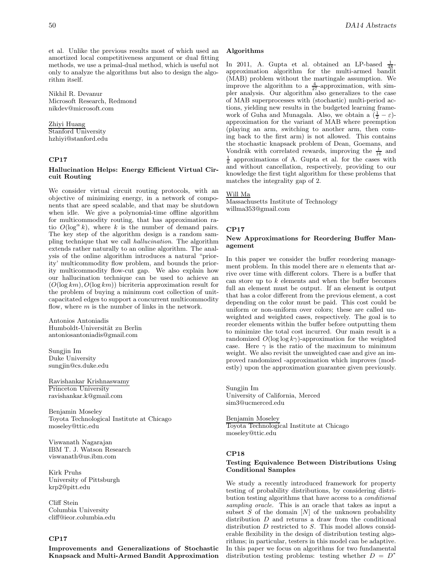et al. Unlike the previous results most of which used an amortized local competitiveness argument or dual fitting methods, we use a primal-dual method, which is useful not only to analyze the algorithms but also to design the algorithm itself.

Nikhil R. Devanur Microsoft Research, Redmond nikdev@microsoft.com

# Zhiyi Huang

Stanford University hzhiyi@stanford.edu

# **CP17**

# **Hallucination Helps: Energy Efficient Virtual Circuit Routing**

We consider virtual circuit routing protocols, with an objective of minimizing energy, in a network of components that are speed scalable, and that may be shutdown when idle. We give a polynomial-time offline algorithm for multicommodity routing, that has approximation ratio  $O(\log^{\alpha} k)$ , where k is the number of demand pairs. The key step of the algorithm design is a random sampling technique that we call hallucination. The algorithm extends rather naturally to an online algorithm. The analysis of the online algorithm introduces a natural "priority' multicommodity flow problem, and bounds the priority multicommodity flow-cut gap. We also explain how our hallucination technique can be used to achieve an  $(O(\log km), O(\log km))$  bicriteria approximation result for the problem of buying a minimum cost collection of unitcapacitated edges to support a concurrent multicommodity flow, where  $m$  is the number of links in the network.

Antonios Antoniadis Humboldt-Universität zu Berlin antoniosantoniadis@gmail.com

Sungjin Im Duke University sungjin@cs.duke.edu

Ravishankar Krishnaswamy Princeton University ravishankar.k@gmail.com

Benjamin Moseley Toyota Technological Institute at Chicago moseley@ttic.edu

Viswanath Nagarajan IBM T. J. Watson Research viswanath@us.ibm.com

Kirk Pruhs University of Pittsburgh krp2@pitt.edu

Cliff Stein Columbia University cliff@ieor.columbia.edu

# **CP17**

**Improvements and Generalizations of Stochastic Knapsack and Multi-Armed Bandit Approximation**

# **Algorithms**

In 2011, A. Gupta et al. obtained an LP-based In 2011, A. Gupta et al. obtained an LP-based  $\frac{1}{48}$ -approximation algorithm for the multi-armed bandit (MAB) problem without the martingale assumption. We improve the algorithm to a  $\frac{4}{27}$ -approximation, with sim-<br>pler analysis. Our algorithm also generalizes to the case pler analysis. Our algorithm also generalizes to the case of MAB superprocesses with (stochastic) multi-period actions, yielding new results in the budgeted learning framework of Guha and Munagala. Also, we obtain a  $(\frac{1}{2} - \varepsilon)$ -<br>approximation for the variant of MAB where preemption approximation for the variant of MAB where preemption (playing an arm, switching to another arm, then coming back to the first arm) is not allowed. This contains the stochastic knapsack problem of Dean, Goemans, and Vondrák with correlated rewards, improving the  $\frac{1}{16}$  and Vondrák with correlated rewards, improving the  $\frac{1}{16}$  and  $\frac{1}{8}$  approximations of A. Gupta et al. for the cases with and without cancellation respectively providing to our and without cancellation, respectively, providing to our knowledge the first tight algorithm for these problems that matches the integrality gap of 2.

## Will Ma

Massachusetts Institute of Technology willma353@gmail.com

## **CP17**

# **New Approximations for Reordering Buffer Management**

In this paper we consider the buffer reordering management problem. In this model there are *n* elements that arrive over time with different colors. There is a buffer that can store up to  $k$  elements and when the buffer becomes full an element must be output. If an element is output that has a color different from the previous element, a cost depending on the color must be paid. This cost could be uniform or non-uniform over colors; these are called unweighted and weighted cases, respectively. The goal is to reorder elements within the buffer before outputting them to minimize the total cost incurred. Our main result is a randomized  $O(\log \log k \gamma)$ -approximation for the weighted case. Here  $\gamma$  is the ratio of the maximum to minimum weight. We also revisit the unweighted case and give an improved randomized -approximation which improves (modestly) upon the approximation guarantee given previously.

Sungjin Im University of California, Merced sim3@ucmerced.edu

Benjamin Moseley Toyota Technological Institute at Chicago moseley@ttic.edu

#### **CP18**

# **Testing Equivalence Between Distributions Using Conditional Samples**

We study a recently introduced framework for property testing of probability distributions, by considering distribution testing algorithms that have access to a conditional sampling oracle. This is an oracle that takes as input a subset  $S$  of the domain  $[N]$  of the unknown probability distribution D and returns a draw from the conditional distribution  $D$  restricted to  $S$ . This model allows considerable flexibility in the design of distribution testing algorithms; in particular, testers in this model can be adaptive. In this paper we focus on algorithms for two fundamental distribution testing problems: testing whether  $D = D^*$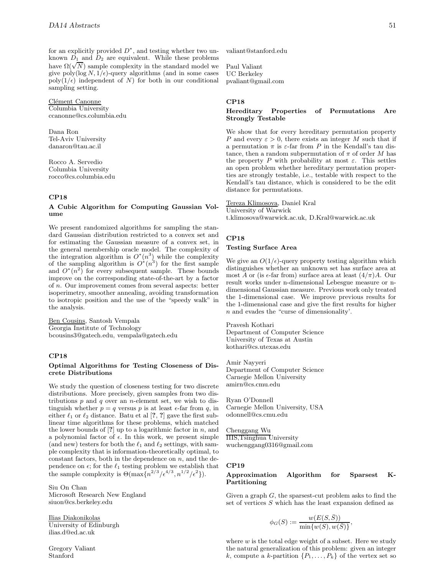for an explicitly provided  $D^*$ , and testing whether two unknown  $D_1$  and  $D_2$  are equivalent. While these problems have  $\Omega(\sqrt{N})$  sample complexity in the standard model we give poly( $\log N$ ,  $1/\epsilon$ )-query algorithms (and in some cases poly( $1/\epsilon$ ) independent of N) for both in our conditional sampling setting.

Clément Canonne Columbia University ccanonne@cs.columbia.edu

Dana Ron Tel-Aviv University danaron@tau.ac.il

Rocco A. Servedio Columbia University rocco@cs.columbia.edu

## **CP18**

## **A Cubic Algorithm for Computing Gaussian Volume**

We present randomized algorithms for sampling the standard Gaussian distribution restricted to a convex set and for estimating the Gaussian measure of a convex set, in the general membership oracle model. The complexity of the integration algorithm is  $O^*(n^3)$  while the complexity of the sampling algorithm is  $O^*(n^3)$  for the first sample and  $O^*(n^2)$  for every subsequent sample. These bounds improve on the corresponding state-of-the-art by a factor of n. Our improvement comes from several aspects: better isoperimetry, smoother annealing, avoiding transformation to isotropic position and the use of the "speedy walk" in the analysis.

Ben Cousins, Santosh Vempala Georgia Institute of Technology bcousins3@gatech.edu, vempala@gatech.edu

# **CP18**

#### **Optimal Algorithms for Testing Closeness of Discrete Distributions**

We study the question of closeness testing for two discrete distributions. More precisely, given samples from two distributions  $p$  and  $q$  over an *n*-element set, we wish to distinguish whether  $p = q$  versus p is at least  $\epsilon$ -far from q, in either  $\ell_1$  or  $\ell_2$  distance. Batu et al  $[?$ , ? gave the first sublinear time algorithms for these problems, which matched the lower bounds of  $[?]$  up to a logarithmic factor in  $n$ , and a polynomial factor of  $\epsilon$ . In this work, we present simple (and new) testers for both the  $\ell_1$  and  $\ell_2$  settings, with sample complexity that is information-theoretically optimal, to constant factors, both in the dependence on  $n$ , and the dependence on  $\epsilon$ ; for the  $\ell_1$  testing problem we establish that the sample complexity is  $\Theta(\max\{n^{2/3}/\epsilon^{4/3}, n^{1/2}/\epsilon^2\}).$ 

Siu On Chan Microsoft Research New England siuon@cs.berkeley.edu

Ilias Diakonikolas University of Edinburgh ilias.d@ed.ac.uk

Gregory Valiant Stanford

valiant@stanford.edu

Paul Valiant UC Berkeley pvaliant@gmail.com

## **CP18**

# **Hereditary Properties of Permutations Are Strongly Testable**

We show that for every hereditary permutation property P and every  $\varepsilon > 0$ , there exists an integer M such that if a permutation  $\pi$  is  $\varepsilon$ -far from P in the Kendall's tau distance, then a random subpermutation of  $\pi$  of order M has the property P with probability at most  $\varepsilon$ . This settles an open problem whether hereditary permutation properties are strongly testable, i.e., testable with respect to the Kendall's tau distance, which is considered to be the edit distance for permutations.

Tereza Klimosova, Daniel Kral University of Warwick t.klimosova@warwick.ac.uk, D.Kral@warwick.ac.uk

# **CP18 Testing Surface Area**

We give an  $O(1/\epsilon)$ -query property testing algorithm which distinguishes whether an unknown set has surface area at most A or (is  $\epsilon$ -far from) surface area at least  $(4/\pi)A$ . Our result works under n-dimensional Lebesgue measure or ndimensional Gaussian measure. Previous work only treated the 1-dimensional case. We improve previous results for the 1-dimensional case and give the first results for higher n and evades the "curse of dimensionality'.

Pravesh Kothari Department of Computer Science University of Texas at Austin kothari@cs.utexas.edu

Amir Nayyeri Department of Computer Science Carnegie Mellon University amirn@cs.cmu.edu

Ryan O'Donnell Carnegie Mellon University, USA odonnell@cs.cmu.edu

# Chenggang Wu

IIIS,Tsinghua University wuchenggang0316@gmail.com

#### **CP19**

## **Approximation Algorithm for Sparsest K-Partitioning**

Given a graph  $G$ , the sparsest-cut problem asks to find the set of vertices  $S$  which has the least expansion defined as

$$
\phi_G(S) := \frac{w(E(S,\bar{S}))}{\min\{w(S), w(\bar{S})\}},
$$

where  $w$  is the total edge weight of a subset. Here we study the natural generalization of this problem: given an integer k, compute a k-partition  $\{P_1,\ldots,P_k\}$  of the vertex set so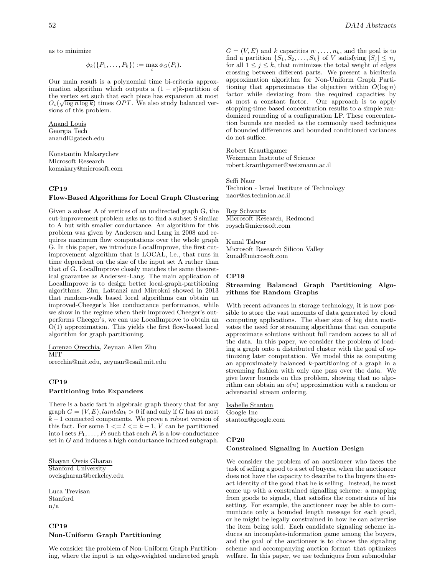as to minimize

$$
\phi_k(\lbrace P_1,\ldots,P_k\rbrace):=\max_i\phi_G(P_i).
$$

Our main result is a polynomial time bi-criteria approximation algorithm which outputs a  $(1 - \varepsilon)k$ -partition of the vertex set such that each piece has expansion at most the vertex set such that each piece has expansion at most  $O_{\varepsilon}(\sqrt{\log n \log k})$  times  $OPT$ . We also study balanced versions of this problem.

Anand Louis Georgia Tech anandl@gatech.edu

Konstantin Makarychev Microsoft Research komakary@microsoft.com

# **CP19**

# **Flow-Based Algorithms for Local Graph Clustering**

Given a subset A of vertices of an undirected graph G, the cut-improvement problem asks us to find a subset S similar to A but with smaller conductance. An algorithm for this problem was given by Andersen and Lang in 2008 and requires maximum flow computations over the whole graph G. In this paper, we introduce LocalImprove, the first cutimprovement algorithm that is LOCAL, i.e., that runs in time dependent on the size of the input set A rather than that of G. LocalImprove closely matches the same theoretical guarantee as Andersen-Lang. The main application of LocalImprove is to design better local-graph-partitioning algorithms. Zhu, Lattanzi and Mirrokni showed in 2013 that random-walk based local algorithms can obtain an improved-Cheeger's like conductance performance, while we show in the regime when their improved Cheeger's outperforms Cheeger's, we can use LocalImprove to obtain an O(1) approximation. This yields the first flow-based local algorithm for graph partitioning.

Lorenzo Orecchia, Zeyuan Allen Zhu **MIT** 

orecchia@mit.edu, zeyuan@csail.mit.edu

# **CP19 Partitioning into Expanders**

There is a basic fact in algebraic graph theory that for any graph  $G = (V, E)$ , lambda<sub>k</sub> > 0 if and only if G has at most  $k-1$  connected components. We prove a robust version of this fact. For some  $1 \leq l \leq k-1$ , V can be partitioned into l sets  $P_1, \ldots, P_l$  such that each  $P_i$  is a low-conductance set in G and induces a high conductance induced subgraph.

Shayan Oveis Gharan Stanford University oveisgharan@berkeley.edu

Luca Trevisan Stanford n/a

# **CP19 Non-Uniform Graph Partitioning**

We consider the problem of Non-Uniform Graph Partitioning, where the input is an edge-weighted undirected graph

 $G = (V, E)$  and k capacities  $n_1, \ldots, n_k$ , and the goal is to find a partition  $\{S_1, S_2, \ldots, S_k\}$  of V satisfying  $|S_j| \leq n_j$ for all  $1 \leq j \leq k$ , that minimizes the total weight of edges crossing between different parts. We present a bicriteria approximation algorithm for Non-Uniform Graph Partitioning that approximates the objective within  $O(\log n)$ factor while deviating from the required capacities by at most a constant factor. Our approach is to apply stopping-time based concentration results to a simple randomized rounding of a configuration LP. These concentration bounds are needed as the commonly used techniques of bounded differences and bounded conditioned variances do not suffice.

Robert Krauthgamer Weizmann Institute of Science robert.krauthgamer@weizmann.ac.il

Seffi Naor Technion - Israel Institute of Technology naor@cs.technion.ac.il

Roy Schwartz Microsoft Research, Redmond roysch@microsoft.com

Kunal Talwar Microsoft Research Silicon Valley kunal@microsoft.com

#### **CP19**

## **Streaming Balanced Graph Partitioning Algorithms for Random Graphs**

With recent advances in storage technology, it is now possible to store the vast amounts of data generated by cloud computing applications. The sheer size of big data motivates the need for streaming algorithms that can compute approximate solutions without full random access to all of the data. In this paper, we consider the problem of loading a graph onto a distributed cluster with the goal of optimizing later computation. We model this as computing an approximately balanced k-partitioning of a graph in a streaming fashion with only one pass over the data. We give lower bounds on this problem, showing that no algorithm can obtain an  $o(n)$  approximation with a random or adversarial stream ordering.

Isabelle Stanton Google Inc stanton@google.com

# **CP20**

#### **Constrained Signaling in Auction Design**

We consider the problem of an auctioneer who faces the task of selling a good to a set of buyers, when the auctioneer does not have the capacity to describe to the buyers the exact identity of the good that he is selling. Instead, he must come up with a constrained signalling scheme: a mapping from goods to signals, that satisfies the constraints of his setting. For example, the auctioneer may be able to communicate only a bounded length message for each good, or he might be legally constrained in how he can advertise the item being sold. Each candidate signaling scheme induces an incomplete-information game among the buyers, and the goal of the auctioneer is to choose the signaling scheme and accompanying auction format that optimizes welfare. In this paper, we use techniques from submodular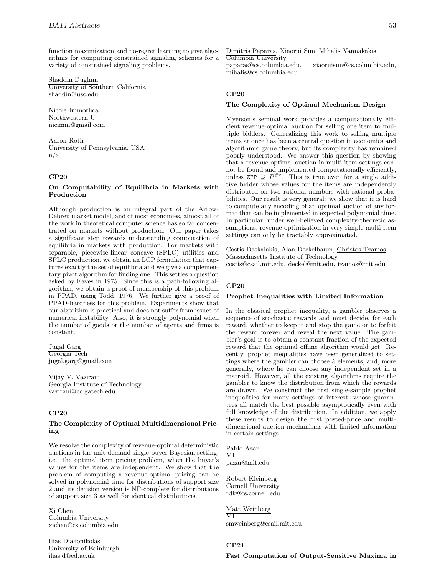function maximization and no-regret learning to give algorithms for computing constrained signaling schemes for a variety of constrained signaling problems.

Shaddin Dughmi University of Southern California shaddin@usc.edu

Nicole Immorlica Northwestern U nicimm@gmail.com

Aaron Roth University of Pennsylvania, USA n/a

# **CP20**

# **On Computability of Equilibria in Markets with Production**

Although production is an integral part of the Arrow-Debreu market model, and of most economies, almost all of the work in theoretical computer science has so far concentrated on markets without production. Our paper takes a significant step towards understanding computation of equilibria in markets with production. For markets with separable, piecewise-linear concave (SPLC) utilities and SPLC production, we obtain an LCP formulation that captures exactly the set of equilibria and we give a complementary pivot algorithm for finding one. This settles a question asked by Eaves in 1975. Since this is a path-following algorithm, we obtain a proof of membership of this problem in PPAD, using Todd, 1976. We further give a proof of PPAD-hardness for this problem. Experiments show that our algorithm is practical and does not suffer from issues of numerical instability. Also, it is strongly polynomial when the number of goods or the number of agents and firms is constant.

Jugal Garg Georgia Tech jugal.garg@gmail.com

Vijay V. Vazirani Georgia Institute of Technology vazirani@cc.gatech.edu

# **CP20**

#### **The Complexity of Optimal Multidimensional Pricing**

We resolve the complexity of revenue-optimal deterministic auctions in the unit-demand single-buyer Bayesian setting, i.e., the optimal item pricing problem, when the buyer's values for the items are independent. We show that the problem of computing a revenue-optimal pricing can be solved in polynomial time for distributions of support size 2 and its decision version is NP-complete for distributions of support size 3 as well for identical distributions.

Xi Chen Columbia University xichen@cs.columbia.edu

Ilias Diakonikolas University of Edinburgh ilias.d@ed.ac.uk

Dimitris Paparas, Xiaorui Sun, Mihalis Yannakakis Columbia University

paparas@cs.columbia.edu, xiaoruisun@cs.columbia.edu, mihalis@cs.columbia.edu

# **CP20**

### **The Complexity of Optimal Mechanism Design**

Myerson's seminal work provides a computationally efficient revenue-optimal auction for selling one item to multiple bidders. Generalizing this work to selling multiple items at once has been a central question in economics and algorithmic game theory, but its complexity has remained poorly understood. We answer this question by showing that a revenue-optimal auction in multi-item settings cannot be found and implemented computationally efficiently, unless ZPP  $\supseteq P^{\#P}$ . This is true even for a single additive bidder whose values for the items are independently distributed on two rational numbers with rational probabilities. Our result is very general: we show that it is hard to compute any encoding of an optimal auction of any format that can be implemented in expected polynomial time. In particular, under well-believed complexity-theoretic assumptions, revenue-optimization in very simple multi-item settings can only be tractably approximated.

Costis Daskalakis, Alan Deckelbaum, Christos Tzamos Massachusetts Institute of Technology costis@csail.mit.edu, deckel@mit.edu, tzamos@mit.edu

# **CP20**

#### **Prophet Inequalities with Limited Information**

In the classical prophet inequality, a gambler observes a sequence of stochastic rewards and must decide, for each reward, whether to keep it and stop the game or to forfeit the reward forever and reveal the next value. The gambler's goal is to obtain a constant fraction of the expected reward that the optimal offline algorithm would get. Recently, prophet inequalities have been generalized to settings where the gambler can choose  $k$  elements, and, more generally, where he can choose any independent set in a matroid. However, all the existing algorithms require the gambler to know the distribution from which the rewards are drawn. We construct the first single-sample prophet inequalities for many settings of interest, whose guarantees all match the best possible asymptotically even with full knowledge of the distribution. In addition, we apply these results to design the first posted-price and multidimensional auction mechanisms with limited information in certain settings.

Pablo Azar MIT pazar@mit.edu

Robert Kleinberg Cornell University rdk@cs.cornell.edu

Matt Weinberg **MIT** smweinberg@csail.mit.edu

# **CP21 Fast Computation of Output-Sensitive Maxima in**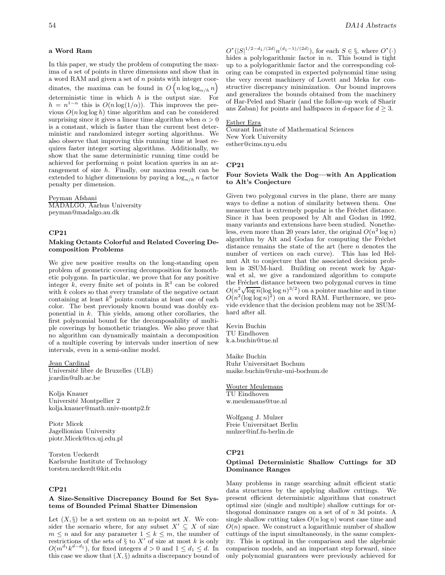## **a Word Ram**

In this paper, we study the problem of computing the maxima of a set of points in three dimensions and show that in a word RAM and given a set of n points with integer coordinates, the maxima can be found in  $O(n \log \log_{n/h} n)$ deterministic time in which  $h$  is the output size. For  $h = n^{1-\alpha}$  this is  $O(n \log(1/\alpha))$ . This improves the previous  $O(n \log \log h)$  time algorithm and can be considered surprising since it gives a linear time algorithm when  $\alpha > 0$ is a constant, which is faster than the current best deterministic and randomized integer sorting algorithms. We also observe that improving this running time at least requires faster integer sorting algorithms. Additionally, we show that the same deterministic running time could be achieved for performing n point location queries in an arrangement of size h. Finally, our maxima result can be extended to higher dimensions by paying a  $\log_{n/h} n$  factor penalty per dimension.

Peyman Afshani MADALGO, Aarhus University peyman@madalgo.au.dk

#### **CP21**

#### **Making Octants Colorful and Related Covering Decomposition Problems**

We give new positive results on the long-standing open problem of geometric covering decomposition for homothetic polygons. In particular, we prove that for any positive integer k, every finite set of points in  $\mathbb{R}^3$  can be colored with  $k$  colors so that every translate of the negative octant containing at least  $k^6$  points contains at least one of each color. The best previously known bound was doubly exponential in  $k$ . This yields, among other corollaries, the first polynomial bound for the decomposability of multiple coverings by homothetic triangles. We also prove that no algorithm can dynamically maintain a decomposition of a multiple covering by intervals under insertion of new intervals, even in a semi-online model.

Jean Cardinal Université libre de Bruxelles (ULB) jcardin@ulb.ac.be

Kolja Knauer Université Montpellier 2 kolja.knauer@math.univ-montp2.fr

Piotr Micek Jagellionian University piotr.Micek@tcs.uj.edu.pl

Torsten Ueckerdt Karlsruhe Institute of Technology torsten.ueckerdt@kit.edu

# **CP21**

# **A Size-Sensitive Discrepancy Bound for Set Systems of Bounded Primal Shatter Dimension**

Let  $(X, \S)$  be a set system on an *n*-point set X. We consider the scenario where, for any subset  $X' \subseteq X$  of size  $m\leq n$  and for any parameter  $1\leq k\leq m,$  the number of restrictions of the sets of  $\S$  to  $X'$  of size at most k is only  $O(m^{d_1}k^{d-d_1})$ , for fixed integers  $d > 0$  and  $1 \leq d_1 \leq d$ . In this case we show that  $(X, \S)$  admits a discrepancy bound of

 $O^*(|S|^{1/2-d_1/(2d)}n^{(d_1-1)/(2d)})$ , for each  $S \in \S$ , where  $O^*(\cdot)$ hides a polylogarithmic factor in  $n$ . This bound is tight up to a polylogarithmic factor and the corresponding coloring can be computed in expected polynomial time using the very recent machinery of Lovett and Meka for constructive discrepancy minimization. Our bound improves and generalizes the bounds obtained from the machinery of Har-Peled and Sharir (and the follow-up work of Sharir ans Zaban) for points and halfspaces in d-space for  $d \geq 3$ .

# Esther Ezra

Courant Institute of Mathematical Sciences New York University esther@cims.nyu.edu

#### **CP21**

# **Four Soviets Walk the Dog—with An Application to Alt's Conjecture**

Given two polygonal curves in the plane, there are many ways to define a notion of similarity between them. One measure that is extremely popular is the Fréchet distance. Since it has been proposed by Alt and Godau in 1992, many variants and extensions have been studied. Nonetheless, even more than 20 years later, the original  $O(n^2 \log n)$ algorithm by Alt and Godau for computing the Fréchet distance remains the state of the art (here  $n$  denotes the number of vertices on each curve). This has led Helmut Alt to conjecture that the associated decision problem is 3SUM-hard. Building on recent work by Agarwal et al, we give a randomized algorithm to compute the Fréchet distance between two polygonal curves in time  $O(n^2 \sqrt{\log n} (\log \log n)^{3/2})$  on a pointer machine and in time  $O(n^2(\log \log n)^2)$  on a word RAM. Furthermore, we provide evidence that the decision problem may not be 3SUMhard after all.

Kevin Buchin TU Eindhoven k.a.buchin@tue.nl

Maike Buchin Ruhr Universitaet Bochum maike.buchin@ruhr-uni-bochum.de

Wouter Meulemans TU Eindhoven w.meulemans@tue.nl

Wolfgang J. Mulzer Freie Universitaet Berlin mulzer@inf.fu-berlin.de

#### **CP21**

# **Optimal Deterministic Shallow Cuttings for 3D Dominance Ranges**

Many problems in range searching admit efficient static data structures by the applying shallow cuttings. We present efficient deterministic algorithms that construct optimal size (single and multiple) shallow cuttings for orthogonal dominance ranges on a set of of n 3d points. A single shallow cutting takes  $O(n \log n)$  worst case time and  $O(n)$  space. We construct a logarithmic number of shallow cuttings of the input simultaneously, in the same complexity. This is optimal in the comparison and the algebraic comparison models, and an important step forward, since only polynomial guarantees were previously achieved for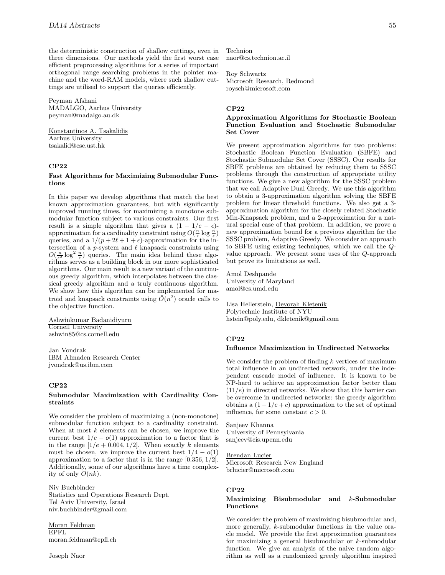the deterministic construction of shallow cuttings, even in three dimensions. Our methods yield the first worst case efficient preprocessing algorithms for a series of important orthogonal range searching problems in the pointer machine and the word-RAM models, where such shallow cuttings are utilised to support the queries efficiently.

Peyman Afshani MADALGO, Aarhus University peyman@madalgo.au.dk

Konstantinos A. Tsakalidis Aarhus University tsakalid@cse.ust.hk

# **CP22**

#### **Fast Algorithms for Maximizing Submodular Functions**

In this paper we develop algorithms that match the best known approximation guarantees, but with significantly improved running times, for maximizing a monotone submodular function subject to various constraints. Our first result is a simple algorithm that gives a  $(1 - 1/e - \epsilon)$ approximation for a cardinality constraint using  $O(\frac{n}{\epsilon} \log \frac{n}{\epsilon})$ queries, and a  $1/(p + 2\ell + 1 + \epsilon)$ -approximation for the intersection of a p-system and  $\ell$  knapsack constraints using  $O(\frac{n}{\epsilon^2} \log^2 \frac{n}{\epsilon})$  queries. The main idea behind these algorithms serves as a building block in our more sophisticated algorithms. Our main result is a new variant of the continuous greedy algorithm, which interpolates between the classical greedy algorithm and a truly continuous algorithm. We show how this algorithm can be implemented for matroid and knapsack constraints using  $\tilde{O}(n^2)$  oracle calls to the objective function.

Ashwinkumar Badanidiyuru Cornell University ashwin85@cs.cornell.edu

Jan Vondrak IBM Almaden Research Center jvondrak@us.ibm.com

#### **CP22**

# **Submodular Maximization with Cardinality Constraints**

We consider the problem of maximizing a (non-monotone) submodular function subject to a cardinality constraint. When at most  $k$  elements can be chosen, we improve the current best  $1/e - o(1)$  approximation to a factor that is in the range  $[1/e + 0.004, 1/2]$ . When exactly k elements must be chosen, we improve the current best  $1/4 - o(1)$ approximation to a factor that is in the range [0.356, 1/2]. Additionally, some of our algorithms have a time complexity of only  $O(nk)$ .

Niv Buchbinder Statistics and Operations Research Dept. Tel Aviv University, Israel niv.buchbinder@gmail.com

Moran Feldman EPFL moran.feldman@epfl.ch Technion naor@cs.technion.ac.il

Roy Schwartz Microsoft Research, Redmond roysch@microsoft.com

#### **CP22**

## **Approximation Algorithms for Stochastic Boolean Function Evaluation and Stochastic Submodular Set Cover**

We present approximation algorithms for two problems: Stochastic Boolean Function Evaluation (SBFE) and Stochastic Submodular Set Cover (SSSC). Our results for SBFE problems are obtained by reducing them to SSSC problems through the construction of appropriate utility functions. We give a new algorithm for the SSSC problem that we call Adaptive Dual Greedy. We use this algorithm to obtain a 3-approximation algorithm solving the SBFE problem for linear threshold functions. We also get a 3 approximation algorithm for the closely related Stochastic Min-Knapsack problem, and a 2-approximation for a natural special case of that problem. In addition, we prove a new approximation bound for a previous algorithm for the SSSC problem, Adaptive Greedy. We consider an approach to SBFE using existing techniques, which we call the Qvalue approach. We present some uses of the Q-approach but prove its limitations as well.

Amol Deshpande University of Maryland amol@cs.umd.edu

Lisa Hellerstein, Devorah Kletenik Polytechnic Institute of NYU hstein@poly.edu, dkletenik@gmail.com

# **CP22**

#### **Influence Maximization in Undirected Networks**

We consider the problem of finding  $k$  vertices of maximum total influence in an undirected network, under the independent cascade model of influence. It is known to be NP-hard to achieve an approximation factor better than  $(11/e)$  in directed networks. We show that this barrier can be overcome in undirected networks: the greedy algorithm obtains a  $(1 - 1/e + c)$  approximation to the set of optimal influence, for some constant  $c > 0$ .

Sanjeev Khanna University of Pennsylvania sanjeev@cis.upenn.edu

#### Brendan Lucier

Microsoft Research New England brlucier@microsoft.com

## **CP22**

#### **Maximizing Bisubmodular and** k**-Submodular Functions**

We consider the problem of maximizing bisubmodular and, more generally, k-submodular functions in the value oracle model. We provide the first approximation guarantees for maximizing a general bisubmodular or k-submodular function. We give an analysis of the naive random algorithm as well as a randomized greedy algorithm inspired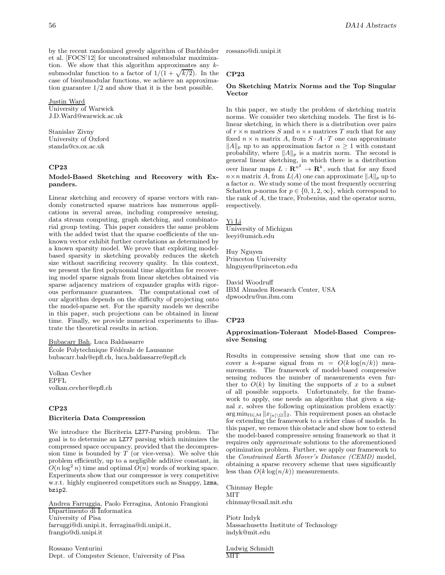by the recent randomized greedy algorithm of Buchbinder et al. [FOCS'12] for unconstrained submodular maximization. We show that this algorithm approximates any  $k$ submodular function to a factor of  $1/(1 + \sqrt{k/2})$ . In the case of bisubmodular functions, we achieve an approximation guarantee 1/2 and show that it is the best possible.

Justin Ward

University of Warwick J.D.Ward@warwick.ac.uk

Stanislav Zivny University of Oxford standa@cs.ox.ac.uk

# **CP23**

#### **Model-Based Sketching and Recovery with Expanders.**

Linear sketching and recovery of sparse vectors with randomly constructed sparse matrices has numerous applications in several areas, including compressive sensing, data stream computing, graph sketching, and combinatorial group testing. This paper considers the same problem with the added twist that the sparse coefficients of the unknown vector exhibit further correlations as determined by a known sparsity model. We prove that exploiting modelbased sparsity in sketching provably reduces the sketch size without sacrificing recovery quality. In this context, we present the first polynomial time algorithm for recovering model sparse signals from linear sketches obtained via sparse adjacency matrices of expander graphs with rigorous performance guarantees. The computational cost of our algorithm depends on the difficulty of projecting onto the model-sparse set. For the sparsity models we describe in this paper, such projections can be obtained in linear time. Finally, we provide numerical experiments to illustrate the theoretical results in action.

Bubacarr Bah, Luca Baldassarre École Polytechnique Fédérale de Lausanne bubacarr.bah@epfl.ch, luca.baldassarre@epfl.ch

Volkan Cevher EPFL volkan.cevher@epfl.ch

# **CP23**

# **Bicriteria Data Compression**

We introduce the Bicriteria LZ77-Parsing problem. The goal is to determine an LZ77 parsing which minimizes the compressed space occupancy, provided that the decompression time is bounded by  $T$  (or vice-versa). We solve this problem efficiently, up to a negligible additive constant, in  $O(n \log^2 n)$  time and optimal  $O(n)$  words of working space. Experiments show that our compressor is very competitive w.r.t. highly engineered competitors such as Snappy, lzma, bzip2.

Andrea Farruggia, Paolo Ferragina, Antonio Frangioni Dipartimento di Informatica University of Pisa farruggi@di.unipi.it, ferragina@di.unipi.it, frangio@di.unipi.it

Rossano Venturini Dept. of Computer Science, University of Pisa rossano@di.unipi.it

## **CP23**

#### **On Sketching Matrix Norms and the Top Singular Vector**

In this paper, we study the problem of sketching matrix norms. We consider two sketching models. The first is bilinear sketching, in which there is a distribution over pairs of  $r \times n$  matrices S and  $n \times s$  matrices T such that for any fixed  $n \times n$  matrix A, from  $S \cdot A \cdot T$  one can approximate  $||A||_p$  up to an approximation factor  $\alpha \geq 1$  with constant probability, where  $||A||_p$  is a matrix norm. The second is general linear sketching, in which there is a distribution over linear maps  $L: \mathbb{R}^{n^2} \to \mathbb{R}^k$ , such that for any fixed  $n \times n$  matrix A, from  $L(A)$  one can approximate  $||A||_p$  up to a factor  $\alpha$ . We study some of the most frequently occurring Schatten p-norms for  $p \in \{0, 1, 2, \infty\}$ , which correspond to the rank of A, the trace, Frobenius, and the operator norm, respectively.

## Yi Li

University of Michigan leeyi@umich.edu

Huy Nguyen Princeton University hlnguyen@princeton.edu

David Woodruff IBM Almaden Research Center, USA dpwoodru@us.ibm.com

#### **CP23**

## **Approximation-Tolerant Model-Based Compressive Sensing**

Results in compressive sensing show that one can recover a k-sparse signal from  $m = O(k \log(n/k))$  measurements. The framework of model-based compressive sensing reduces the number of measurements even further to  $O(k)$  by limiting the supports of x to a subset of all possible supports. Unfortunately, for the framework to apply, one needs an algorithm that given a signal  $x$ , solves the following optimization problem exactly:  $\arg \min_{\Omega \in \mathcal{M}} ||x_{[n] \setminus \Omega}||_2$ . This requirement poses an obstacle for extending the framework to a righer class of models. In for extending the framework to a richer class of models. In this paper, we remove this obstacle and show how to extend the model-based compressive sensing framework so that it requires only approximate solutions to the aforementioned optimization problem. Further, we apply our framework to the Constrained Earth Mover's Distance (CEMD) model, obtaining a sparse recovery scheme that uses significantly less than  $O(k \log(n/k))$  measurements.

Chinmay Hegde **MIT** chinmay@csail.mit.edu

Piotr Indyk Massachusetts Institute of Technology indyk@mit.edu

Ludwig Schmidt MIT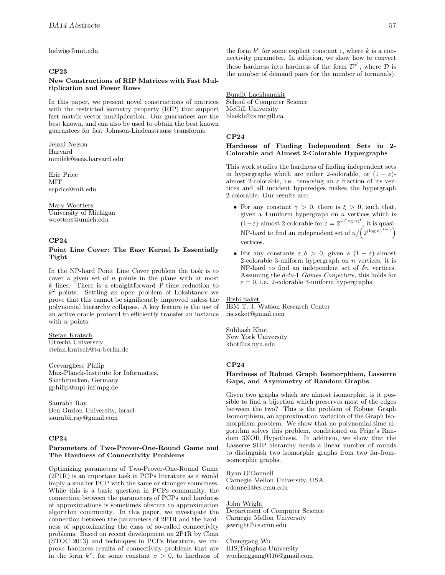ludwigs@mit.edu

# **CP23**

# **New Constructions of RIP Matrices with Fast Multiplication and Fewer Rows**

In this paper, we present novel constructions of matrices with the restricted isometry property (RIP) that support fast matrix-vector multiplication. Our guarantees are the best known, and can also be used to obtain the best known guarantees for fast Johnson-Lindenstrauss transforms.

Jelani Nelson Harvard minilek@seas.harvard.edu

Eric Price **MIT** ecprice@mit.edu

Mary Wootters University of Michigan wootters@umich.edu

# **CP24**

# **Point Line Cover: The Easy Kernel Is Essentially Tight**

In the NP-hard Point Line Cover problem the task is to cover a given set of  $n$  points in the plane with at most k lines. There is a straightforward P-time reduction to  $k^2$  points. Settling an open problem of Lokshtanov we prove that this cannot be significantly improved unless the polynomial hierarchy collapses. A key feature is the use of an active oracle protocol to efficiently transfer an instance with *n* points.

Stefan Kratsch Utrecht University stefan.kratsch@tu-berlin.de

Geevarghese Philip Max-Planck-Institute for Informatics, Saarbruecken, Germany gphilip@mpi-inf.mpg.de

Saurabh Ray Ben-Gurion University, Israel saurabh.ray@gmail.com

# **CP24**

#### **Parameters of Two-Prover-One-Round Game and The Hardness of Connectivity Problems**

Optimizing parameters of Two-Prover-One-Round Game (2P1R) is an important task in PCPs literature as it would imply a smaller PCP with the same or stronger soundness. While this is a basic question in PCPs community, the connection between the parameters of PCPs and hardness of approximations is sometimes obscure to approximation algorithm community. In this paper, we investigate the connection between the parameters of 2P1R and the hardness of approximating the class of so-called connectivity problems. Based on recent development on 2P1R by Chan (STOC 2013) and techniques in PCPs literature, we improve hardness results of connectivity problems that are in the form  $k^{\sigma}$ , for some constant  $\sigma > 0$ , to hardness of

the form  $k^c$  for some explicit constant c, where k is a connectivity parameter. In addition, we show how to convert these hardness into hardness of the form  $\mathcal{D}^{c'}$ , where  $\mathcal D$  is the number of demand pairs (or the number of terminals).

# Bundit Laekhanukit

School of Computer Science McGill University blaekh@cs.mcgill.ca

#### **CP24**

#### **Hardness of Finding Independent Sets in 2- Colorable and Almost 2-Colorable Hypergraphs**

This work studies the hardness of finding independent sets in hypergraphs which are either 2-colorable, or  $(1 - \varepsilon)$ almost 2-colorable, i.e. removing an  $\varepsilon$  fraction of its vertices and all incident hyperedges makes the hypergraph 2-colorable. Our results are:

- For any constant  $\gamma > 0$ , there is  $\xi > 0$ , such that, given a 4-uniform hypergraph on  $n$  vertices which is  $(1-\varepsilon)$ -almost 2-colorable for  $\varepsilon = 2^{-(\log n)^{\xi}}$ , it is quasi-NP-hard to find an independent set of  $n/(2^{(\log n)^{1-\gamma}})$ vertices.
- For any constants  $\varepsilon, \delta > 0$ , given a  $(1 \varepsilon)$ -almost 2-colorable 3-uniform hypergraph on  $n$  vertices, it is NP-hard to find an independent set of  $\delta n$  vertices. Assuming the d-to-1 Games Conjecture, this holds for  $\varepsilon = 0$ , i.e. 2-colorable 3-uniform hypergraphs.

Rishi Saket IBM T. J. Watson Research Center ris.saket@gmail.com

Subhash Khot New York University khot@cs.nyu.edu

#### **CP24**

## **Hardness of Robust Graph Isomorphism, Lasserre Gaps, and Asymmetry of Random Graphs**

Given two graphs which are almost isomorphic, is it possible to find a bijection which preserves most of the edges between the two? This is the problem of Robust Graph Isomorphism, an approximation variation of the Graph Isomorphism problem. We show that no polynomial-time algorithm solves this problem, conditioned on Feige's Random 3XOR Hypothesis. In addition, we show that the Lasserre SDP hierarchy needs a linear number of rounds to distinguish two isomorphic graphs from two far-fromisomorphic graphs.

Ryan O'Donnell Carnegie Mellon University, USA odonnell@cs.cmu.edu

#### John Wright

Department of Computer Science Carnegie Mellon University jswright@cs.cmu.edu

Chenggang Wu IIIS,Tsinghua University wuchenggang0316@gmail.com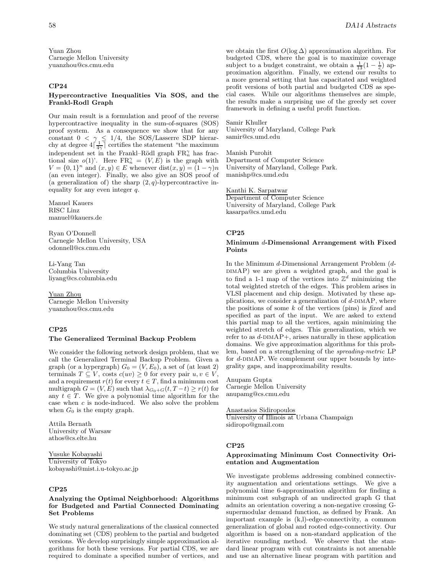Yuan Zhou Carnegie Mellon University yuanzhou@cs.cmu.edu

# **CP24**

## **Hypercontractive Inequalities Via SOS, and the Frankl-Rodl Graph**

Our main result is a formulation and proof of the reverse hypercontractive inequality in the sum-of-squares (SOS) proof system. As a consequence we show that for any constant  $0 < \gamma \leq 1/4$ , the SOS/Lasserre SDP hierarchy at degree  $4\left[\frac{1}{4\gamma}\right]$  certifies the statement "the maximum" independent set in the Frankl–Rödl graph  $\text{FR}^{\gamma}_n$  has fractional size  $o(1)$ . Here  $FR_n^{\gamma} = (V, E)$  is the graph with  $V = \{0, 1\}^n$  and  $(x, y) \in E$  whenever  $dist(x, y) = (1 - \gamma)n$ (an even integer). Finally, we also give an SOS proof of (a generalization of) the sharp  $(2, q)$ -hypercontractive inequality for any even integer q.

Manuel Kauers RISC Linz manuel@kauers.de

Ryan O'Donnell Carnegie Mellon University, USA odonnell@cs.cmu.edu

Li-Yang Tan Columbia University liyang@cs.columbia.edu

Yuan Zhou Carnegie Mellon University yuanzhou@cs.cmu.edu

## **CP25**

#### **The Generalized Terminal Backup Problem**

We consider the following network design problem, that we call the Generalized Terminal Backup Problem. Given a graph (or a hypergraph)  $G_0 = (V, E_0)$ , a set of (at least 2) terminals  $T \subseteq V$ , costs  $c(uv) \geq 0$  for every pair  $u, v \in V$ , and a requirement  $r(t)$  for every  $t \in T$ , find a minimum cost multigraph  $G = (V, E)$  such that  $\lambda_{G_0+G}(t, T-t) \geq r(t)$  for any  $t \in T$ . We give a polynomial time algorithm for the case when  $c$  is node-induced. We also solve the problem when  $G_0$  is the empty graph.

Attila Bernath University of Warsaw athos@cs.elte.hu

Yusuke Kobayashi University of Tokyo kobayashi@mist.i.u-tokyo.ac.jp

#### **CP25**

## **Analyzing the Optimal Neighborhood: Algorithms for Budgeted and Partial Connected Dominating Set Problems**

We study natural generalizations of the classical connected dominating set (CDS) problem to the partial and budgeted versions. We develop surprisingly simple approximation algorithms for both these versions. For partial CDS, we are required to dominate a specified number of vertices, and

we obtain the first  $O(\log \Delta)$  approximation algorithm. For budgeted CDS, where the goal is to maximize coverage subject to a budget constraint, we obtain a  $\frac{1}{13}(1-\frac{1}{e})$  approximation algorithm. Finally we extend our results to proximation algorithm. Finally, we extend our results to a more general setting that has capacitated and weighted profit versions of both partial and budgeted CDS as special cases. While our algorithms themselves are simple, the results make a surprising use of the greedy set cover framework in defining a useful profit function.

Samir Khuller University of Maryland, College Park samir@cs.umd.edu

Manish Purohit Department of Computer Science University of Maryland, College Park. manishp@cs.umd.edu

Kanthi K. Sarpatwar Department of Computer Science University of Maryland, College Park kasarpa@cs.umd.edu

# **CP25**

## **Minimum** d**-Dimensional Arrangement with Fixed Points**

In the Minimum d-Dimensional Arrangement Problem (d-DIMAP) we are given a weighted graph, and the goal is to find a 1-1 map of the vertices into  $\mathbb{Z}^d$  minimizing the total weighted stretch of the edges. This problem arises in VLSI placement and chip design. Motivated by these applications, we consider a generalization of  $d$ -DIMAP, where the positions of some  $k$  of the vertices (pins) is fixed and specified as part of the input. We are asked to extend this partial map to all the vertices, again minimizing the weighted stretch of edges. This generalization, which we refer to as  $d$ -DIMAP+, arises naturally in these application domains. We give approximation algorithms for this problem, based on a strengthening of the spreading-metric LP for  $d$ -DIMAP. We complement our upper bounds by integrality gaps, and inapproximability results.

Anupam Gupta Carnegie Mellon University anupamg@cs.cmu.edu

Anastasios Sidiropoulos University of Illinois at Urbana Champaign sidiropo@gmail.com

#### **CP25**

# **Approximating Minimum Cost Connectivity Orientation and Augmentation**

We investigate problems addressing combined connectivity augmentation and orientations settings. We give a polynomial time 6-approximation algorithm for finding a minimum cost subgraph of an undirected graph G that admits an orientation covering a non-negative crossing Gsupermodular demand function, as defined by Frank. An important example is (k,l)-edge-connectivity, a common generalization of global and rooted edge-connectivity. Our algorithm is based on a non-standard application of the iterative rounding method. We observe that the standard linear program with cut constraints is not amenable and use an alternative linear program with partition and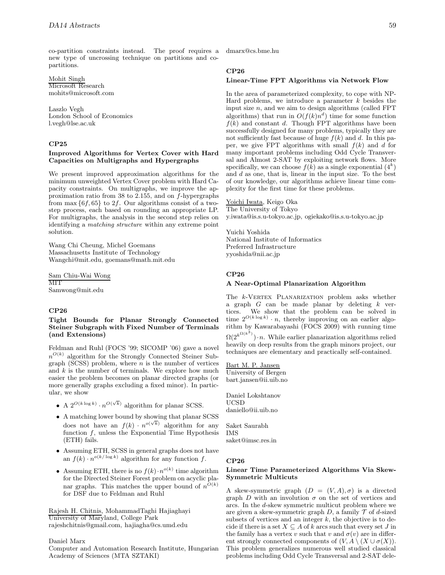co-partition constraints instead. The proof requires a new type of uncrossing technique on partitions and copartitions.

Mohit Singh Microsoft Research mohits@microsoft.com

Laszlo Vegh London School of Economics l.vegh@lse.ac.uk

# **CP25**

# **Improved Algorithms for Vertex Cover with Hard Capacities on Multigraphs and Hypergraphs**

We present improved approximation algorithms for the minimum unweighted Vertex Cover problem with Hard Capacity constraints. On multigraphs, we improve the approximation ratio from 38 to 2.155, and on f-hypergraphs from max  $\{6f, 65\}$  to 2f. Our algorithms consist of a twostep process, each based on rounding an appropriate LP. For multigraphs, the analysis in the second step relies on identifying a matching structure within any extreme point solution.

Wang Chi Cheung, Michel Goemans Massachusetts Institute of Technology Wangchi@mit.edu, goemans@math.mit.edu

Sam Chiu-Wai Wong **MIT** Samwong@mit.edu

# **CP26**

## **Tight Bounds for Planar Strongly Connected Steiner Subgraph with Fixed Number of Terminals (and Extensions)**

Feldman and Ruhl (FOCS '99; SICOMP '06) gave a novel  $n^{O(k)}$  algorithm for the Strongly Connected Steiner Subgraph (SCSS) problem, where  $n$  is the number of vertices and  $k$  is the number of terminals. We explore how much easier the problem becomes on planar directed graphs (or more generally graphs excluding a fixed minor). In particular, we show

- A  $2^{O(k \log k)} \cdot n^{O(\sqrt{k})}$  algorithm for planar SCSS.
- A matching lower bound by showing that planar SCSS does not have an  $f(k) \cdot n^{o(\sqrt{k})}$  algorithm for any function  $f$ , unless the Exponential Time Hypothesis (ETH) fails.
- Assuming ETH, SCSS in general graphs does not have an  $f(k) \cdot n^{o(k/\log k)}$  algorithm for any function f.
- Assuming ETH, there is no  $f(k) \cdot n^{o(k)}$  time algorithm for the Directed Steiner Forest problem on acyclic planar graphs. This matches the upper bound of  $n^{O(k)}$ for DSF due to Feldman and Ruhl

Rajesh H. Chitnis, MohammadTaghi Hajiaghayi University of Maryland, College Park rajeshchitnis@gmail.com, hajiagha@cs.umd.edu

Daniel Marx

Computer and Automation Research Institute, Hungarian Academy of Sciences (MTA SZTAKI)

dmarx@cs.bme.hu

# **CP26**

## **Linear-Time FPT Algorithms via Network Flow**

In the area of parameterized complexity, to cope with NP-Hard problems, we introduce a parameter  $k$  besides the input size  $n$ , and we aim to design algorithms (called FPT algorithms) that run in  $O(f(k)n^d)$  time for some function  $f(k)$  and constant d. Though FPT algorithms have been successfully designed for many problems, typically they are not sufficiently fast because of huge  $f(k)$  and d. In this paper, we give FPT algorithms with small  $f(k)$  and d for many important problems including Odd Cycle Transversal and Almost 2-SAT by exploiting network flows. More specifically, we can choose  $f(k)$  as a single exponential  $(4^k)$ and d as one, that is, linear in the input size. To the best of our knowledge, our algorithms achieve linear time complexity for the first time for these problems.

Yoichi Iwata, Keigo Oka The University of Tokyo y.iwata@is.s.u-tokyo.ac.jp, ogiekako@is.s.u-tokyo.ac.jp

Yuichi Yoshida National Institute of Informatics Preferred Infrastructure yyoshida@nii.ac.jp

# **CP26**

#### **A Near-Optimal Planarization Algorithm**

The k-VERTEX PLANARIZATION problem asks whether a graph  $G$  can be made planar by deleting  $k$  vertices. We show that the problem can be solved in time  $2^{O(k \log k)} \cdot n$ , thereby improving on an earlier algorithm by Kawarabayashi (FOCS 2009) with running time  $\Omega(2^{k^{\Omega(k^3)}}) \cdot n$ . While earlier planarization algorithms relied heavily on deep results from the graph minors project, our techniques are elementary and practically self-contained.

Bart M. P. Jansen University of Bergen bart.jansen@ii.uib.no

Daniel Lokshtanov UCSD daniello@ii.uib.no

Saket Saurabh IMS saket@imsc.res.in

#### **CP26**

## **Linear Time Parameterized Algorithms Via Skew-Symmetric Multicuts**

A skew-symmetric graph  $(D = (V, A), \sigma)$  is a directed graph D with an involution  $\sigma$  on the set of vertices and arcs. In the d-skew symmetric multicut problem where we are given a skew-symmetric graph  $D$ , a family  $\mathcal T$  of d-sized subsets of vertices and an integer  $k$ , the objective is to decide if there is a set  $X \subseteq A$  of k arcs such that every set J in the family has a vertex v such that v and  $\sigma(v)$  are in different strongly connected components of  $(V, A \setminus (X \cup \sigma(X)).$ This problem generalizes numerous well studied classical problems including Odd Cycle Transversal and 2-SAT dele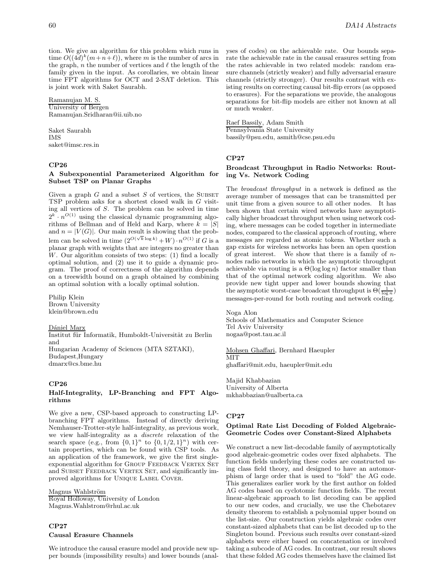tion. We give an algorithm for this problem which runs in time  $O((4d)^k(m+n+\ell))$ , where m is the number of arcs in the graph,  $n$  the number of vertices and  $\ell$  the length of the family given in the input. As corollaries, we obtain linear time FPT algorithms for OCT and 2-SAT deletion. This is joint work with Saket Saurabh.

Ramanujan M. S. University of Bergen Ramanujan.Sridharan@ii.uib.no

Saket Saurabh IMS saket@imsc.res.in

## **CP26**

# **A Subexponential Parameterized Algorithm for Subset TSP on Planar Graphs**

Given a graph  $G$  and a subset  $S$  of vertices, the SUBSET TSP problem asks for a shortest closed walk in G visiting all vertices of S. The problem can be solved in time  $2^k \cdot n^{O(1)}$  using the classical dynamic programming algorithms of Bellman and of Held and Karp, where  $k = |S|$ and  $n = |V(G)|$ . Our main result is showing that the problem can be solved in time  $(2^{O(\sqrt{k}\log k)} + W) \cdot n^{O(1)}$  if G is a planar graph with weights that are integers no greater than W. Our algorithm consists of two steps: (1) find a locally optimal solution, and (2) use it to guide a dynamic program. The proof of correctness of the algorithm depends on a treewidth bound on a graph obtained by combining an optimal solution with a locally optimal solution.

Philip Klein Brown University klein@brown.edu

Dániel Marx Institut für Informatik, Humboldt-Universität zu Berlin and Hungarian Academy of Sciences (MTA SZTAKI), Budapest,Hungary

dmarx@cs.bme.hu

# **CP26**

## **Half-Integrality, LP-Branching and FPT Algorithms**

We give a new, CSP-based approach to constructing LPbranching FPT algorithms. Instead of directly deriving Nemhauser-Trotter-style half-integrality, as previous work, we view half-integrality as a discrete relaxation of the search space (e.g., from  $\{0,1\}^n$  to  $\{0,1/2,1\}^n$ ) with certain properties, which can be found with CSP tools. As an application of the framework, we give the first singleexponential algorithm for GROUP FEEDBACK VERTEX SET and SUBSET FEEDBACK VERTEX SET, and significantly improved algorithms for Unique Label Cover.

Magnus Wahlström Royal Holloway, University of London Magnus.Wahlstrom@rhul.ac.uk

# **CP27 Causal Erasure Channels**

We introduce the causal erasure model and provide new upper bounds (impossibility results) and lower bounds (analyses of codes) on the achievable rate. Our bounds separate the achievable rate in the causal erasures setting from the rates achievable in two related models: random erasure channels (strictly weaker) and fully adversarial erasure channels (strictly stronger). Our results contrast with existing results on correcting causal bit-flip errors (as opposed to erasures). For the separations we provide, the analogous separations for bit-flip models are either not known at all or much weaker.

Raef Bassily, Adam Smith Pennsylvania State University bassily@psu.edu, asmith@cse.psu.edu

# **CP27**

# **Broadcast Throughput in Radio Networks: Routing Vs. Network Coding**

The broadcast throughput in a network is defined as the average number of messages that can be transmitted per unit time from a given source to all other nodes. It has been shown that certain wired networks have asymptotically higher broadcast throughput when using network coding, where messages can be coded together in intermediate nodes, compared to the classical approach of routing, where messages are regarded as atomic tokens. Whether such a gap exists for wireless networks has been an open question of great interest. We show that there is a family of  $n$ nodes radio networks in which the asymptotic throughput achievable via routing is a  $\Theta(\log \log n)$  factor smaller than that of the optimal network coding algorithm. We also provide new tight upper and lower bounds showing that the asymptotic worst-case broadcast throughput is  $\Theta(\frac{1}{\log n})$ <br>messages per round for both pouting and network coding messages-per-round for both routing and network coding.

Noga Alon Schools of Mathematics and Computer Science Tel Aviv University nogaa@post.tau.ac.il

Mohsen Ghaffari, Bernhard Haeupler MIT ghaffari@mit.edu, haeupler@mit.edu

Majid Khabbazian University of Alberta mkhabbazian@ualberta.ca

# **CP27**

## **Optimal Rate List Decoding of Folded Algebraic-Geometric Codes over Constant-Sized Alphabets**

We construct a new list-decodable family of asymptotically good algebraic-geometric codes over fixed alphabets. The function fields underlying these codes are constructed using class field theory, and designed to have an automorphism of large order that is used to "fold" the AG code. This generalizes earlier work by the first author on folded AG codes based on cyclotomic function fields. The recent linear-algebraic approach to list decoding can be applied to our new codes, and crucially, we use the Chebotarev density theorem to establish a polynomial upper bound on the list-size. Our construction yields algebraic codes over constant-sized alphabets that can be list decoded up to the Singleton bound. Previous such results over constant-sized alphabets were either based on concatenation or involved taking a subcode of AG codes. In contrast, our result shows that these folded AG codes themselves have the claimed list